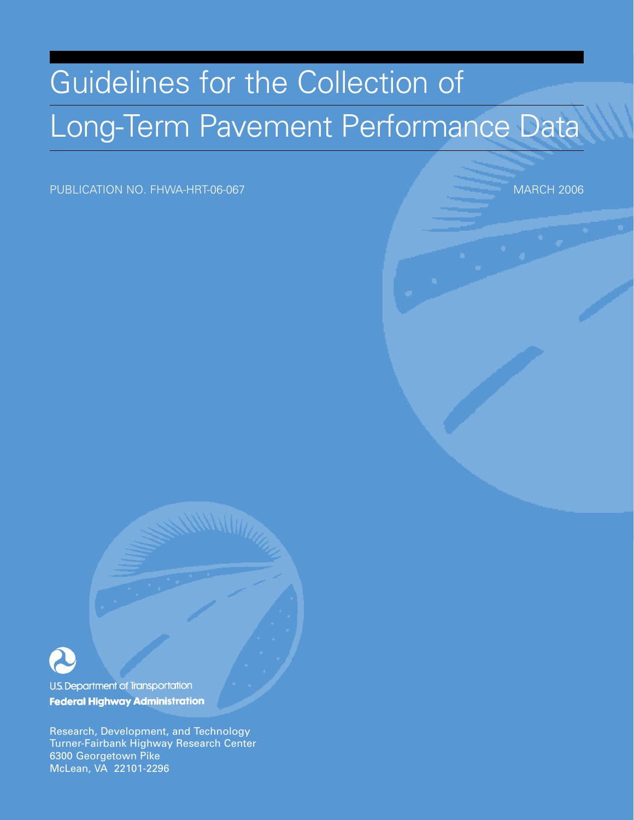# Guidelines for the Collection of Long-Term Pavement Performance Data

PUBLICATION NO. FHWA-HRT-06-067 MARCH 2006



U.S. Department of Transportation **Federal Highway Administration** 

Research, Development, and Technology Turner-Fairbank Highway Research Center 6300 Georgetown Pike McLean, VA 22101-2296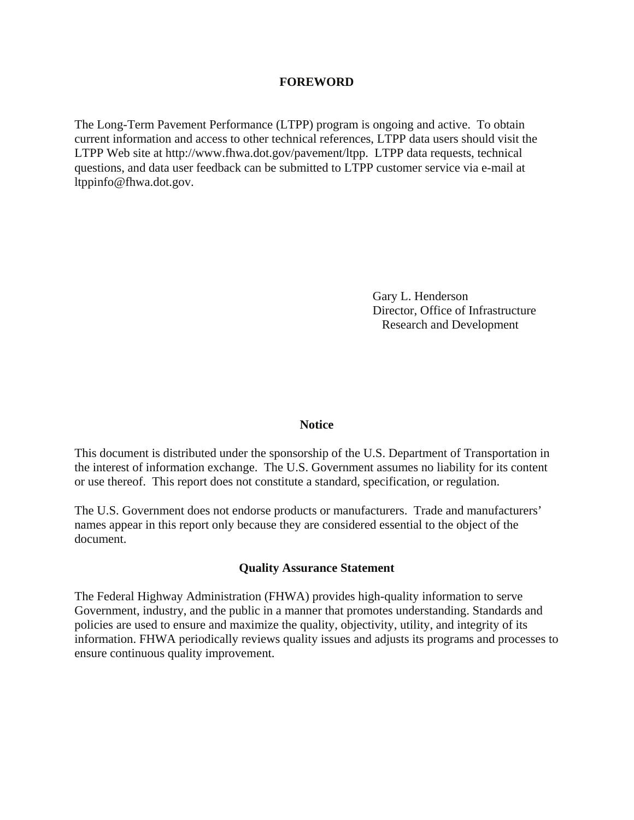#### **FOREWORD**

The Long-Term Pavement Performance (LTPP) program is ongoing and active. To obtain current information and access to other technical references, LTPP data users should visit the LTPP Web site at http://www.fhwa.dot.gov/pavement/ltpp. LTPP data requests, technical questions, and data user feedback can be submitted to LTPP customer service via e-mail at ltppinfo@fhwa.dot.gov.

> Gary L. Henderson Director, Office of Infrastructure Research and Development

#### **Notice**

This document is distributed under the sponsorship of the U.S. Department of Transportation in the interest of information exchange. The U.S. Government assumes no liability for its content or use thereof. This report does not constitute a standard, specification, or regulation.

The U.S. Government does not endorse products or manufacturers. Trade and manufacturers' names appear in this report only because they are considered essential to the object of the document.

#### **Quality Assurance Statement**

The Federal Highway Administration (FHWA) provides high-quality information to serve Government, industry, and the public in a manner that promotes understanding. Standards and policies are used to ensure and maximize the quality, objectivity, utility, and integrity of its information. FHWA periodically reviews quality issues and adjusts its programs and processes to ensure continuous quality improvement.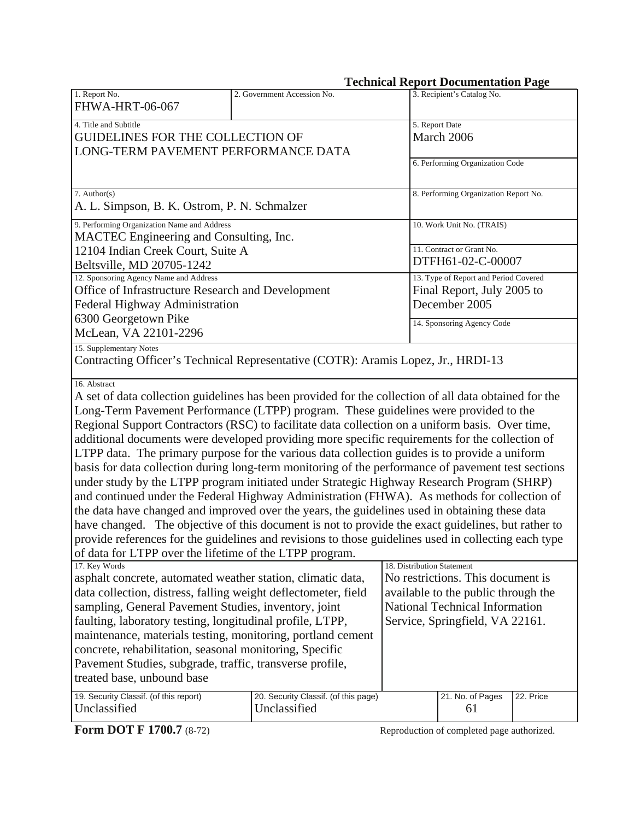| <b>Technical Report Documentation Page</b>                                                                                                                                                                                                                                                                                                                                                                                                                                                                                                                                                                                                                                                                                                                                                                                                                                                                                                                                                                                                                                                                                                                                                       |                                                                                                                                                                             |                                                                                      |                                       |  |
|--------------------------------------------------------------------------------------------------------------------------------------------------------------------------------------------------------------------------------------------------------------------------------------------------------------------------------------------------------------------------------------------------------------------------------------------------------------------------------------------------------------------------------------------------------------------------------------------------------------------------------------------------------------------------------------------------------------------------------------------------------------------------------------------------------------------------------------------------------------------------------------------------------------------------------------------------------------------------------------------------------------------------------------------------------------------------------------------------------------------------------------------------------------------------------------------------|-----------------------------------------------------------------------------------------------------------------------------------------------------------------------------|--------------------------------------------------------------------------------------|---------------------------------------|--|
| 1. Report No.<br>FHWA-HRT-06-067                                                                                                                                                                                                                                                                                                                                                                                                                                                                                                                                                                                                                                                                                                                                                                                                                                                                                                                                                                                                                                                                                                                                                                 | 2. Government Accession No.                                                                                                                                                 |                                                                                      | 3. Recipient's Catalog No.            |  |
| 4. Title and Subtitle<br><b>GUIDELINES FOR THE COLLECTION OF</b><br>LONG-TERM PAVEMENT PERFORMANCE DATA                                                                                                                                                                                                                                                                                                                                                                                                                                                                                                                                                                                                                                                                                                                                                                                                                                                                                                                                                                                                                                                                                          |                                                                                                                                                                             |                                                                                      | 5. Report Date<br>March 2006          |  |
|                                                                                                                                                                                                                                                                                                                                                                                                                                                                                                                                                                                                                                                                                                                                                                                                                                                                                                                                                                                                                                                                                                                                                                                                  |                                                                                                                                                                             |                                                                                      | 6. Performing Organization Code       |  |
| $7.$ Author(s)<br>A. L. Simpson, B. K. Ostrom, P. N. Schmalzer                                                                                                                                                                                                                                                                                                                                                                                                                                                                                                                                                                                                                                                                                                                                                                                                                                                                                                                                                                                                                                                                                                                                   |                                                                                                                                                                             |                                                                                      | 8. Performing Organization Report No. |  |
| 9. Performing Organization Name and Address<br>MACTEC Engineering and Consulting, Inc.                                                                                                                                                                                                                                                                                                                                                                                                                                                                                                                                                                                                                                                                                                                                                                                                                                                                                                                                                                                                                                                                                                           |                                                                                                                                                                             |                                                                                      | 10. Work Unit No. (TRAIS)             |  |
| 12104 Indian Creek Court, Suite A<br>Beltsville, MD 20705-1242                                                                                                                                                                                                                                                                                                                                                                                                                                                                                                                                                                                                                                                                                                                                                                                                                                                                                                                                                                                                                                                                                                                                   |                                                                                                                                                                             | 11. Contract or Grant No.<br>DTFH61-02-C-00007                                       |                                       |  |
| 12. Sponsoring Agency Name and Address<br>Office of Infrastructure Research and Development<br>Federal Highway Administration                                                                                                                                                                                                                                                                                                                                                                                                                                                                                                                                                                                                                                                                                                                                                                                                                                                                                                                                                                                                                                                                    |                                                                                                                                                                             | 13. Type of Report and Period Covered<br>Final Report, July 2005 to<br>December 2005 |                                       |  |
| 6300 Georgetown Pike<br>McLean, VA 22101-2296                                                                                                                                                                                                                                                                                                                                                                                                                                                                                                                                                                                                                                                                                                                                                                                                                                                                                                                                                                                                                                                                                                                                                    |                                                                                                                                                                             |                                                                                      | 14. Sponsoring Agency Code            |  |
| 15. Supplementary Notes<br>Contracting Officer's Technical Representative (COTR): Aramis Lopez, Jr., HRDI-13                                                                                                                                                                                                                                                                                                                                                                                                                                                                                                                                                                                                                                                                                                                                                                                                                                                                                                                                                                                                                                                                                     |                                                                                                                                                                             |                                                                                      |                                       |  |
| 16. Abstract<br>A set of data collection guidelines has been provided for the collection of all data obtained for the<br>Long-Term Pavement Performance (LTPP) program. These guidelines were provided to the<br>Regional Support Contractors (RSC) to facilitate data collection on a uniform basis. Over time,<br>additional documents were developed providing more specific requirements for the collection of<br>LTPP data. The primary purpose for the various data collection guides is to provide a uniform<br>basis for data collection during long-term monitoring of the performance of pavement test sections<br>under study by the LTPP program initiated under Strategic Highway Research Program (SHRP)<br>and continued under the Federal Highway Administration (FHWA). As methods for collection of<br>the data have changed and improved over the years, the guidelines used in obtaining these data<br>have changed. The objective of this document is not to provide the exact guidelines, but rather to<br>provide references for the guidelines and revisions to those guidelines used in collecting each type<br>of data for LTPP over the lifetime of the LTPP program. |                                                                                                                                                                             |                                                                                      |                                       |  |
| 17. Key Words<br>asphalt concrete, automated weather station, climatic data,<br>data collection, distress, falling weight deflectometer, field<br>sampling, General Pavement Studies, inventory, joint<br>faulting, laboratory testing, longitudinal profile, LTPP,<br>maintenance, materials testing, monitoring, portland cement<br>concrete, rehabilitation, seasonal monitoring, Specific<br>Pavement Studies, subgrade, traffic, transverse profile,<br>treated base, unbound base                                                                                                                                                                                                                                                                                                                                                                                                                                                                                                                                                                                                                                                                                                          | 18. Distribution Statement<br>No restrictions. This document is<br>available to the public through the<br>National Technical Information<br>Service, Springfield, VA 22161. |                                                                                      |                                       |  |
| 19. Security Classif. (of this report)<br>Unclassified                                                                                                                                                                                                                                                                                                                                                                                                                                                                                                                                                                                                                                                                                                                                                                                                                                                                                                                                                                                                                                                                                                                                           | 20. Security Classif. (of this page)<br>21. No. of Pages<br>Unclassified<br>61                                                                                              |                                                                                      | 22. Price                             |  |

**Form DOT F 1700.7** (8-72) Reproduction of completed page authorized.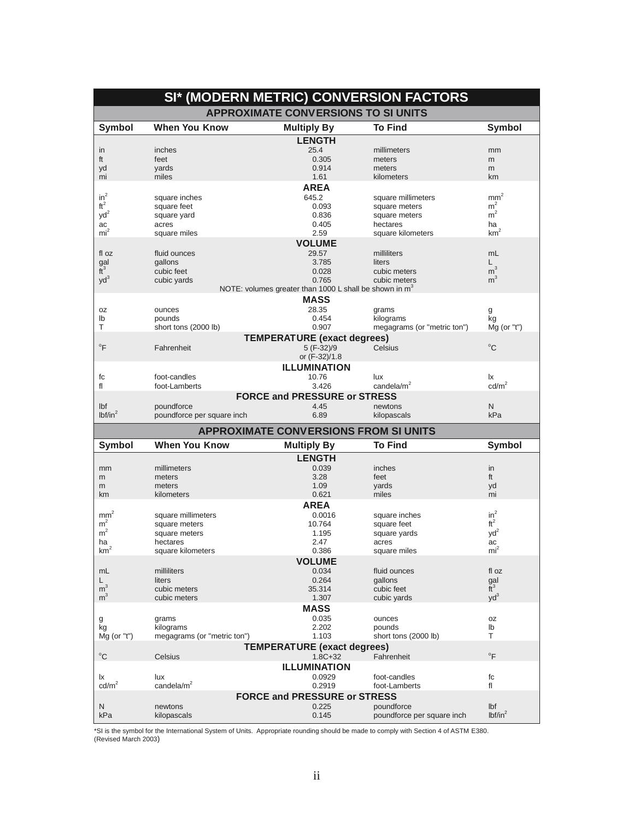| SI* (MODERN METRIC) CONVERSION FACTORS |                                     |                                                                    |                                              |                            |  |  |  |
|----------------------------------------|-------------------------------------|--------------------------------------------------------------------|----------------------------------------------|----------------------------|--|--|--|
|                                        |                                     | <b>APPROXIMATE CONVERSIONS TO SI UNITS</b>                         |                                              |                            |  |  |  |
| Symbol                                 | <b>When You Know</b>                | <b>Multiply By</b>                                                 | <b>To Find</b>                               | <b>Symbol</b>              |  |  |  |
|                                        |                                     | <b>LENGTH</b>                                                      |                                              |                            |  |  |  |
| in                                     | inches                              | 25.4                                                               | millimeters                                  | mm                         |  |  |  |
| ft                                     | feet                                | 0.305                                                              | meters                                       | m                          |  |  |  |
| yd                                     | yards                               | 0.914                                                              | meters                                       | m                          |  |  |  |
| mi                                     | miles                               | 1.61                                                               | kilometers                                   | km                         |  |  |  |
|                                        |                                     | <b>AREA</b>                                                        |                                              |                            |  |  |  |
| $in^2$                                 | square inches                       | 645.2                                                              | square millimeters                           | $\text{mm}^2$              |  |  |  |
| ft <sup>2</sup>                        | square feet                         | 0.093                                                              | square meters                                | m <sup>2</sup>             |  |  |  |
| $yd^2$                                 | square yard                         | 0.836                                                              | square meters                                | m <sup>2</sup>             |  |  |  |
| ac                                     | acres                               | 0.405                                                              | hectares                                     | ha                         |  |  |  |
| mi <sup>2</sup>                        | square miles                        | 2.59                                                               | square kilometers                            | km <sup>2</sup>            |  |  |  |
|                                        |                                     | <b>VOLUME</b>                                                      |                                              |                            |  |  |  |
| fl oz                                  | fluid ounces                        | 29.57                                                              | milliliters                                  | mL                         |  |  |  |
| gal                                    | gallons                             | 3.785                                                              | liters                                       | L                          |  |  |  |
| $\tilde{t}^3$                          | cubic feet                          | 0.028                                                              | cubic meters                                 | m <sup>3</sup>             |  |  |  |
| $yd^3$                                 | cubic yards                         | 0.765                                                              | cubic meters                                 | m <sup>3</sup>             |  |  |  |
|                                        |                                     | NOTE: volumes greater than 1000 L shall be shown in m <sup>3</sup> |                                              |                            |  |  |  |
|                                        |                                     | <b>MASS</b>                                                        |                                              |                            |  |  |  |
| <b>OZ</b>                              | ounces                              | 28.35                                                              | grams                                        | g                          |  |  |  |
| lb                                     | pounds                              | 0.454                                                              | kilograms                                    | kg                         |  |  |  |
| T                                      | short tons (2000 lb)                | 0.907                                                              | megagrams (or "metric ton")                  | $Mq$ (or "t")              |  |  |  |
|                                        |                                     | <b>TEMPERATURE (exact degrees)</b>                                 |                                              |                            |  |  |  |
| °F                                     | Fahrenheit                          | 5 (F-32)/9                                                         | Celsius                                      | $^{\circ}C$                |  |  |  |
|                                        |                                     | or (F-32)/1.8                                                      |                                              |                            |  |  |  |
|                                        |                                     | <b>ILLUMINATION</b>                                                |                                              |                            |  |  |  |
| fc                                     | foot-candles                        | 10.76                                                              | lux                                          | Ιx                         |  |  |  |
| fl                                     | foot-Lamberts                       | 3.426                                                              | candela/ $m2$                                | cd/m <sup>2</sup>          |  |  |  |
|                                        |                                     | <b>FORCE and PRESSURE or STRESS</b>                                |                                              |                            |  |  |  |
|                                        | poundforce                          | 4.45                                                               |                                              | N                          |  |  |  |
| Ibf<br>lbf/in <sup>2</sup>             | poundforce per square inch          | 6.89                                                               | newtons<br>kilopascals                       | kPa                        |  |  |  |
|                                        |                                     |                                                                    |                                              |                            |  |  |  |
|                                        |                                     |                                                                    | <b>APPROXIMATE CONVERSIONS FROM SI UNITS</b> |                            |  |  |  |
|                                        |                                     |                                                                    |                                              |                            |  |  |  |
| Symbol                                 | <b>When You Know</b>                | <b>Multiply By</b>                                                 | <b>To Find</b>                               | <b>Symbol</b>              |  |  |  |
|                                        |                                     | <b>LENGTH</b>                                                      |                                              |                            |  |  |  |
| mm                                     | millimeters                         | 0.039                                                              | inches                                       | in                         |  |  |  |
| m                                      | meters                              | 3.28                                                               | feet                                         | ft                         |  |  |  |
| m                                      | meters                              | 1.09                                                               | yards                                        | yd                         |  |  |  |
| km                                     | kilometers                          | 0.621                                                              | miles                                        | mi                         |  |  |  |
|                                        |                                     | <b>AREA</b>                                                        |                                              |                            |  |  |  |
|                                        |                                     | 0.0016                                                             |                                              |                            |  |  |  |
| $\text{mm}^2$<br>m <sup>2</sup>        | square millimeters<br>square meters | 10.764                                                             | square inches<br>square feet                 | $in^2$<br>$ft^2$           |  |  |  |
| m <sup>2</sup>                         | square meters                       | 1.195                                                              | square yards                                 | $yd^2$                     |  |  |  |
| ha                                     | hectares                            | 2.47                                                               | acres                                        | ac                         |  |  |  |
| km <sup>2</sup>                        | square kilometers                   | 0.386                                                              | square miles                                 | mi <sup>2</sup>            |  |  |  |
|                                        |                                     |                                                                    |                                              |                            |  |  |  |
| mL                                     | milliliters                         | <b>VOLUME</b><br>0.034                                             | fluid ounces                                 | fl oz                      |  |  |  |
| L                                      | liters                              | 0.264                                                              | gallons                                      |                            |  |  |  |
| m <sup>3</sup>                         | cubic meters                        | 35.314                                                             | cubic feet                                   | gal<br>$\tilde{t}^3$       |  |  |  |
| m <sup>3</sup>                         | cubic meters                        | 1.307                                                              | cubic yards                                  | $yd^3$                     |  |  |  |
|                                        |                                     |                                                                    |                                              |                            |  |  |  |
|                                        |                                     | <b>MASS</b>                                                        |                                              |                            |  |  |  |
| g                                      | grams                               | 0.035                                                              | ounces                                       | 0Z                         |  |  |  |
| kg                                     | kilograms                           | 2.202<br>1.103                                                     | pounds                                       | lb<br>т                    |  |  |  |
| $Mg$ (or "t")                          | megagrams (or "metric ton")         |                                                                    | short tons (2000 lb)                         |                            |  |  |  |
| $^{\circ}$ C                           | Celsius                             | <b>TEMPERATURE (exact degrees)</b><br>$1.8C + 32$                  | Fahrenheit                                   | $\mathrm{P}^{\circ}$       |  |  |  |
|                                        |                                     |                                                                    |                                              |                            |  |  |  |
|                                        |                                     | <b>ILLUMINATION</b>                                                |                                              |                            |  |  |  |
| Ιx                                     | lux                                 | 0.0929                                                             | foot-candles                                 | fc                         |  |  |  |
| cd/m <sup>2</sup>                      | candela/m <sup>2</sup>              | 0.2919                                                             | foot-Lamberts                                | fl                         |  |  |  |
|                                        |                                     | <b>FORCE and PRESSURE or STRESS</b>                                |                                              |                            |  |  |  |
| N<br>kPa                               | newtons<br>kilopascals              | 0.225<br>0.145                                                     | poundforce<br>poundforce per square inch     | lbf<br>lbf/in <sup>2</sup> |  |  |  |

\*SI is the symbol for the International System of Units. Appropriate rounding should be made to comply with Section 4 of ASTM E380.<br>(Revised March 2003)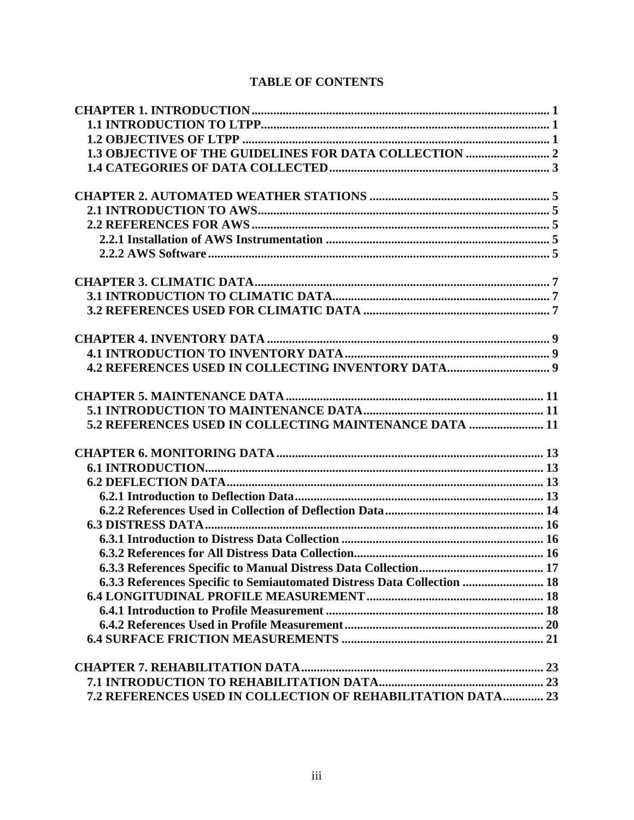# **TABLE OF CONTENTS**

| 1.3 OBJECTIVE OF THE GUIDELINES FOR DATA COLLECTION  2                  |  |
|-------------------------------------------------------------------------|--|
|                                                                         |  |
|                                                                         |  |
|                                                                         |  |
|                                                                         |  |
|                                                                         |  |
|                                                                         |  |
|                                                                         |  |
|                                                                         |  |
|                                                                         |  |
|                                                                         |  |
|                                                                         |  |
|                                                                         |  |
|                                                                         |  |
|                                                                         |  |
| 5.2 REFERENCES USED IN COLLECTING MAINTENANCE DATA  11                  |  |
|                                                                         |  |
|                                                                         |  |
|                                                                         |  |
|                                                                         |  |
|                                                                         |  |
|                                                                         |  |
|                                                                         |  |
|                                                                         |  |
|                                                                         |  |
| 6.3.3 References Specific to Semiautomated Distress Data Collection  18 |  |
|                                                                         |  |
|                                                                         |  |
|                                                                         |  |
|                                                                         |  |
|                                                                         |  |
|                                                                         |  |
| 7.2 REFERENCES USED IN COLLECTION OF REHABILITATION DATA 23             |  |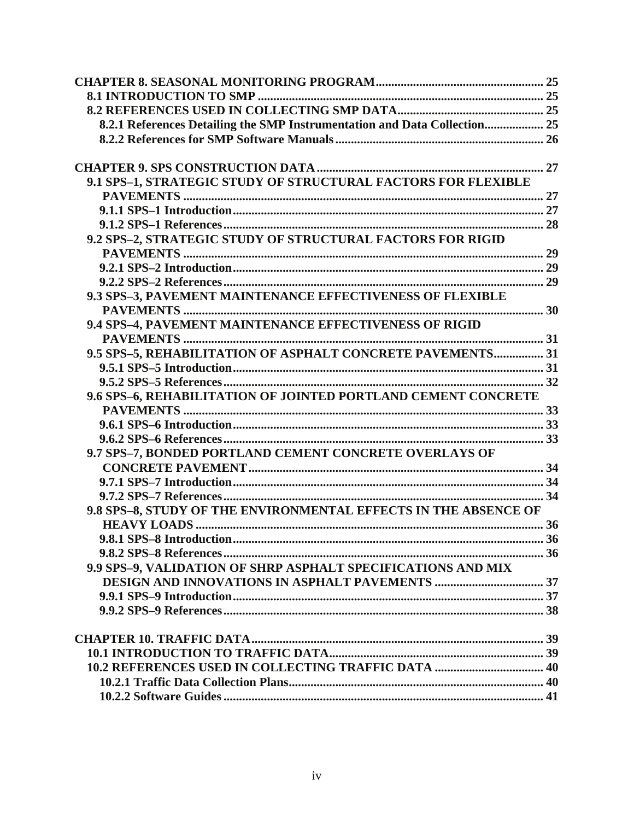| 8.2.1 References Detailing the SMP Instrumentation and Data Collection 25 |  |
|---------------------------------------------------------------------------|--|
|                                                                           |  |
|                                                                           |  |
|                                                                           |  |
| 9.1 SPS-1, STRATEGIC STUDY OF STRUCTURAL FACTORS FOR FLEXIBLE             |  |
|                                                                           |  |
|                                                                           |  |
|                                                                           |  |
| 9.2 SPS-2, STRATEGIC STUDY OF STRUCTURAL FACTORS FOR RIGID                |  |
|                                                                           |  |
|                                                                           |  |
|                                                                           |  |
| 9.3 SPS-3, PAVEMENT MAINTENANCE EFFECTIVENESS OF FLEXIBLE                 |  |
|                                                                           |  |
| 9.4 SPS-4, PAVEMENT MAINTENANCE EFFECTIVENESS OF RIGID                    |  |
|                                                                           |  |
| 9.5 SPS-5, REHABILITATION OF ASPHALT CONCRETE PAVEMENTS 31                |  |
|                                                                           |  |
|                                                                           |  |
| 9.6 SPS-6, REHABILITATION OF JOINTED PORTLAND CEMENT CONCRETE             |  |
|                                                                           |  |
|                                                                           |  |
|                                                                           |  |
| 9.7 SPS-7, BONDED PORTLAND CEMENT CONCRETE OVERLAYS OF                    |  |
|                                                                           |  |
|                                                                           |  |
|                                                                           |  |
| 9.8 SPS-8, STUDY OF THE ENVIRONMENTAL EFFECTS IN THE ABSENCE OF           |  |
|                                                                           |  |
|                                                                           |  |
|                                                                           |  |
| 9.9 SPS-9, VALIDATION OF SHRP ASPHALT SPECIFICATIONS AND MIX              |  |
|                                                                           |  |
|                                                                           |  |
|                                                                           |  |
|                                                                           |  |
|                                                                           |  |
|                                                                           |  |
|                                                                           |  |
|                                                                           |  |
|                                                                           |  |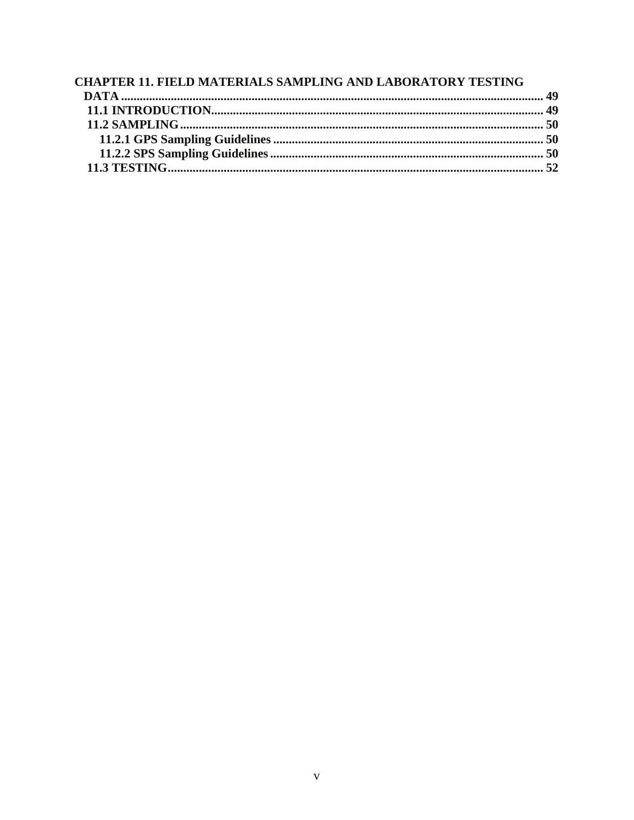| <b>CHAPTER 11. FIELD MATERIALS SAMPLING AND LABORATORY TESTING</b> |  |
|--------------------------------------------------------------------|--|
|                                                                    |  |
|                                                                    |  |
|                                                                    |  |
|                                                                    |  |
|                                                                    |  |
|                                                                    |  |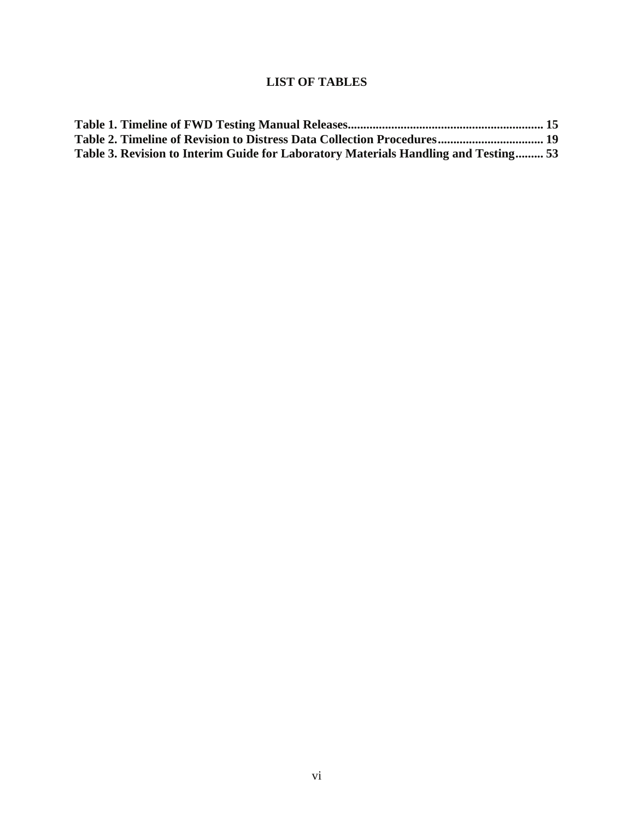# **LIST OF TABLES**

| Table 2. Timeline of Revision to Distress Data Collection Procedures 19             |  |
|-------------------------------------------------------------------------------------|--|
| Table 3. Revision to Interim Guide for Laboratory Materials Handling and Testing 53 |  |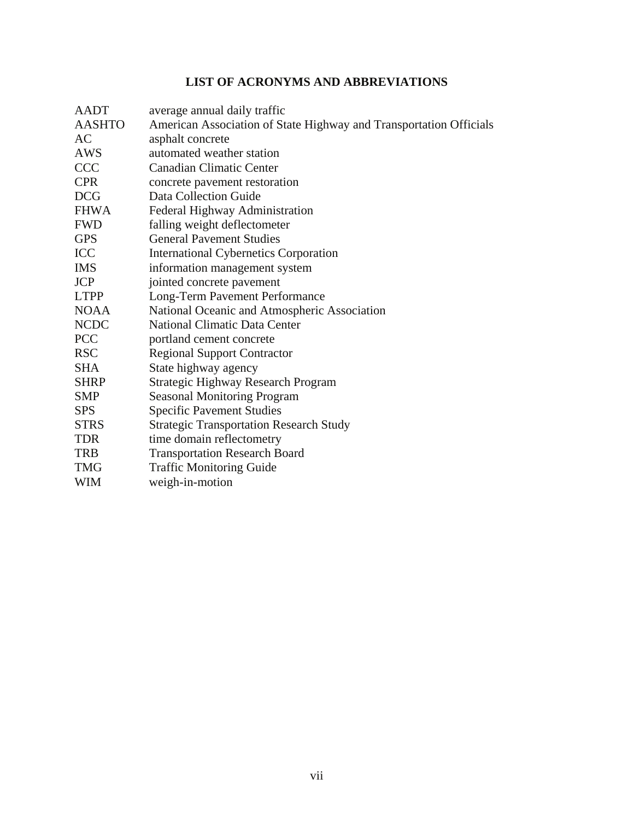# **LIST OF ACRONYMS AND ABBREVIATIONS**

| AADT          | average annual daily traffic                                       |
|---------------|--------------------------------------------------------------------|
| <b>AASHTO</b> | American Association of State Highway and Transportation Officials |
| AC            | asphalt concrete                                                   |
| <b>AWS</b>    | automated weather station                                          |
| <b>CCC</b>    | <b>Canadian Climatic Center</b>                                    |
| <b>CPR</b>    | concrete pavement restoration                                      |
| <b>DCG</b>    | Data Collection Guide                                              |
| <b>FHWA</b>   | Federal Highway Administration                                     |
| <b>FWD</b>    | falling weight deflectometer                                       |
| <b>GPS</b>    | <b>General Pavement Studies</b>                                    |
| <b>ICC</b>    | <b>International Cybernetics Corporation</b>                       |
| <b>IMS</b>    | information management system                                      |
| <b>JCP</b>    | jointed concrete pavement                                          |
| <b>LTPP</b>   | Long-Term Pavement Performance                                     |
| <b>NOAA</b>   | National Oceanic and Atmospheric Association                       |
| <b>NCDC</b>   | <b>National Climatic Data Center</b>                               |
| <b>PCC</b>    | portland cement concrete                                           |
| <b>RSC</b>    | <b>Regional Support Contractor</b>                                 |
| <b>SHA</b>    | State highway agency                                               |
| <b>SHRP</b>   | <b>Strategic Highway Research Program</b>                          |
| <b>SMP</b>    | <b>Seasonal Monitoring Program</b>                                 |
| <b>SPS</b>    | <b>Specific Pavement Studies</b>                                   |
| <b>STRS</b>   | <b>Strategic Transportation Research Study</b>                     |
| <b>TDR</b>    | time domain reflectometry                                          |
| <b>TRB</b>    | <b>Transportation Research Board</b>                               |
| <b>TMG</b>    | <b>Traffic Monitoring Guide</b>                                    |
| <b>WIM</b>    | weigh-in-motion                                                    |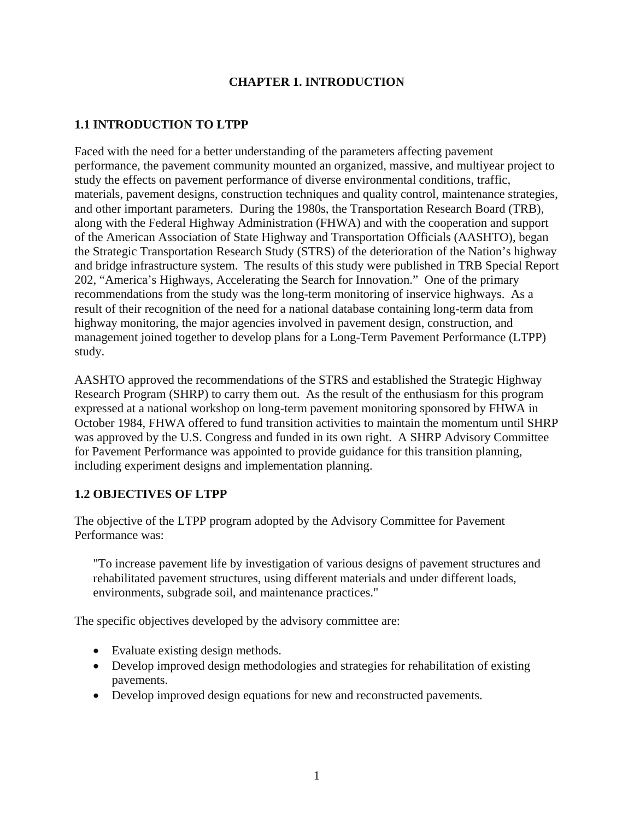# **CHAPTER 1. INTRODUCTION**

# <span id="page-10-0"></span>**1.1 INTRODUCTION TO LTPP**

Faced with the need for a better understanding of the parameters affecting pavement performance, the pavement community mounted an organized, massive, and multiyear project to study the effects on pavement performance of diverse environmental conditions, traffic, materials, pavement designs, construction techniques and quality control, maintenance strategies, and other important parameters. During the 1980s, the Transportation Research Board (TRB), along with the Federal Highway Administration (FHWA) and with the cooperation and support of the American Association of State Highway and Transportation Officials (AASHTO), began the Strategic Transportation Research Study (STRS) of the deterioration of the Nation's highway and bridge infrastructure system. The results of this study were published in TRB Special Report 202, "America's Highways, Accelerating the Search for Innovation." One of the primary recommendations from the study was the long-term monitoring of inservice highways. As a result of their recognition of the need for a national database containing long-term data from highway monitoring, the major agencies involved in pavement design, construction, and management joined together to develop plans for a Long-Term Pavement Performance (LTPP) study.

AASHTO approved the recommendations of the STRS and established the Strategic Highway Research Program (SHRP) to carry them out. As the result of the enthusiasm for this program expressed at a national workshop on long-term pavement monitoring sponsored by FHWA in October 1984, FHWA offered to fund transition activities to maintain the momentum until SHRP was approved by the U.S. Congress and funded in its own right. A SHRP Advisory Committee for Pavement Performance was appointed to provide guidance for this transition planning, including experiment designs and implementation planning.

# **1.2 OBJECTIVES OF LTPP**

The objective of the LTPP program adopted by the Advisory Committee for Pavement Performance was:

"To increase pavement life by investigation of various designs of pavement structures and rehabilitated pavement structures, using different materials and under different loads, environments, subgrade soil, and maintenance practices."

The specific objectives developed by the advisory committee are:

- Evaluate existing design methods.
- Develop improved design methodologies and strategies for rehabilitation of existing pavements.
- Develop improved design equations for new and reconstructed pavements.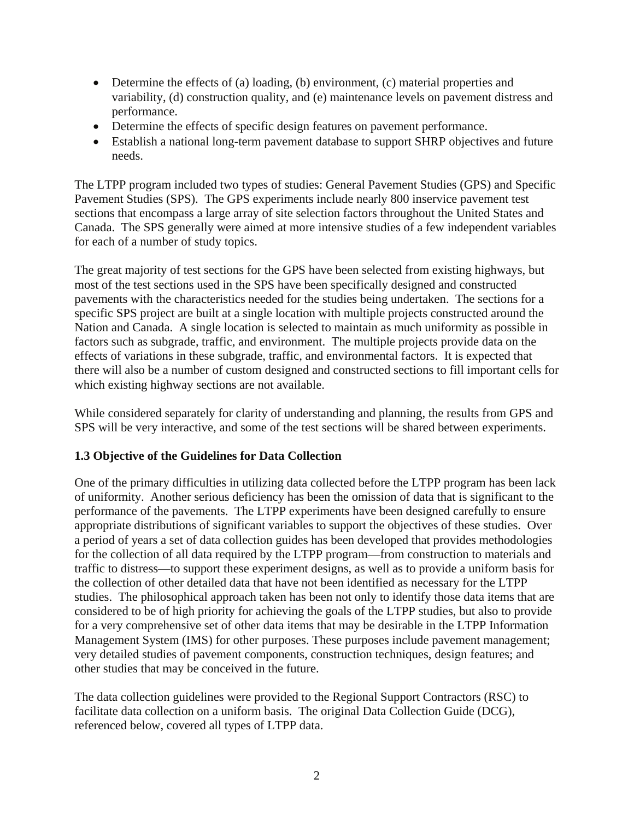- <span id="page-11-0"></span>• Determine the effects of (a) loading, (b) environment, (c) material properties and variability, (d) construction quality, and (e) maintenance levels on pavement distress and performance.
- Determine the effects of specific design features on pavement performance.
- Establish a national long-term pavement database to support SHRP objectives and future needs.

The LTPP program included two types of studies: General Pavement Studies (GPS) and Specific Pavement Studies (SPS). The GPS experiments include nearly 800 inservice pavement test sections that encompass a large array of site selection factors throughout the United States and Canada. The SPS generally were aimed at more intensive studies of a few independent variables for each of a number of study topics.

The great majority of test sections for the GPS have been selected from existing highways, but most of the test sections used in the SPS have been specifically designed and constructed pavements with the characteristics needed for the studies being undertaken. The sections for a specific SPS project are built at a single location with multiple projects constructed around the Nation and Canada. A single location is selected to maintain as much uniformity as possible in factors such as subgrade, traffic, and environment. The multiple projects provide data on the effects of variations in these subgrade, traffic, and environmental factors. It is expected that there will also be a number of custom designed and constructed sections to fill important cells for which existing highway sections are not available.

While considered separately for clarity of understanding and planning, the results from GPS and SPS will be very interactive, and some of the test sections will be shared between experiments.

# **1.3 Objective of the Guidelines for Data Collection**

One of the primary difficulties in utilizing data collected before the LTPP program has been lack of uniformity. Another serious deficiency has been the omission of data that is significant to the performance of the pavements. The LTPP experiments have been designed carefully to ensure appropriate distributions of significant variables to support the objectives of these studies. Over a period of years a set of data collection guides has been developed that provides methodologies for the collection of all data required by the LTPP program—from construction to materials and traffic to distress—to support these experiment designs, as well as to provide a uniform basis for the collection of other detailed data that have not been identified as necessary for the LTPP studies. The philosophical approach taken has been not only to identify those data items that are considered to be of high priority for achieving the goals of the LTPP studies, but also to provide for a very comprehensive set of other data items that may be desirable in the LTPP Information Management System (IMS) for other purposes. These purposes include pavement management; very detailed studies of pavement components, construction techniques, design features; and other studies that may be conceived in the future.

The data collection guidelines were provided to the Regional Support Contractors (RSC) to facilitate data collection on a uniform basis. The original Data Collection Guide (DCG), referenced below, covered all types of LTPP data.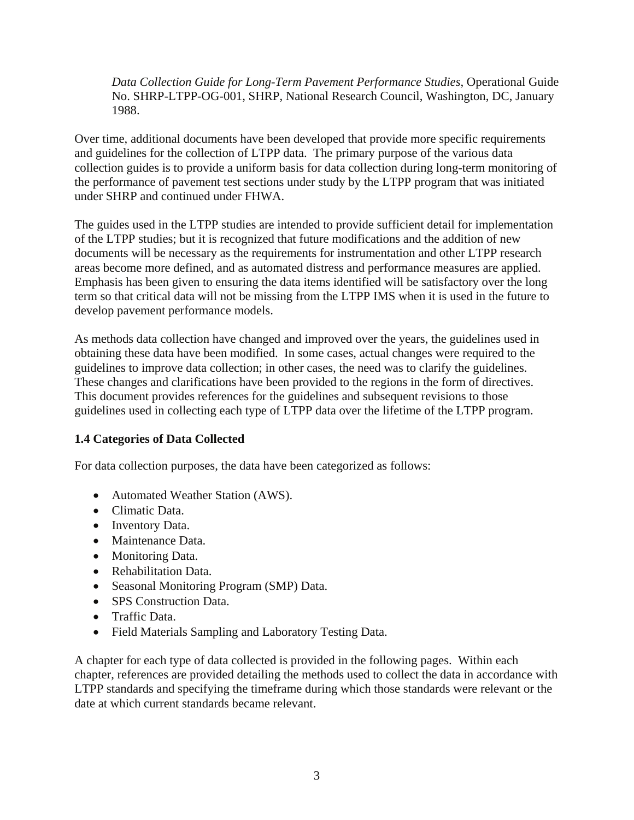<span id="page-12-0"></span>*Data Collection Guide for Long-Term Pavement Performance Studies*, Operational Guide No. SHRP-LTPP-OG-001, SHRP, National Research Council, Washington, DC, January 1988.

Over time, additional documents have been developed that provide more specific requirements and guidelines for the collection of LTPP data. The primary purpose of the various data collection guides is to provide a uniform basis for data collection during long-term monitoring of the performance of pavement test sections under study by the LTPP program that was initiated under SHRP and continued under FHWA.

The guides used in the LTPP studies are intended to provide sufficient detail for implementation of the LTPP studies; but it is recognized that future modifications and the addition of new documents will be necessary as the requirements for instrumentation and other LTPP research areas become more defined, and as automated distress and performance measures are applied. Emphasis has been given to ensuring the data items identified will be satisfactory over the long term so that critical data will not be missing from the LTPP IMS when it is used in the future to develop pavement performance models.

As methods data collection have changed and improved over the years, the guidelines used in obtaining these data have been modified. In some cases, actual changes were required to the guidelines to improve data collection; in other cases, the need was to clarify the guidelines. These changes and clarifications have been provided to the regions in the form of directives. This document provides references for the guidelines and subsequent revisions to those guidelines used in collecting each type of LTPP data over the lifetime of the LTPP program.

# **1.4 Categories of Data Collected**

For data collection purposes, the data have been categorized as follows:

- Automated Weather Station (AWS).
- Climatic Data.
- Inventory Data.
- Maintenance Data.
- Monitoring Data.
- Rehabilitation Data.
- Seasonal Monitoring Program (SMP) Data.
- SPS Construction Data.
- Traffic Data.
- Field Materials Sampling and Laboratory Testing Data.

A chapter for each type of data collected is provided in the following pages. Within each chapter, references are provided detailing the methods used to collect the data in accordance with LTPP standards and specifying the timeframe during which those standards were relevant or the date at which current standards became relevant.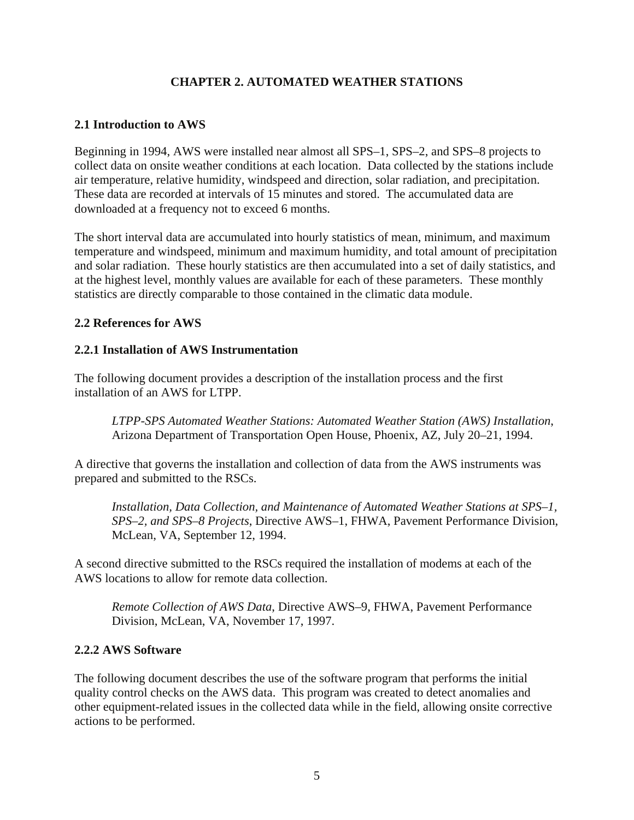# **CHAPTER 2. AUTOMATED WEATHER STATIONS**

# <span id="page-14-0"></span>**2.1 Introduction to AWS**

Beginning in 1994, AWS were installed near almost all SPS–1, SPS–2, and SPS–8 projects to collect data on onsite weather conditions at each location. Data collected by the stations include air temperature, relative humidity, windspeed and direction, solar radiation, and precipitation. These data are recorded at intervals of 15 minutes and stored. The accumulated data are downloaded at a frequency not to exceed 6 months.

The short interval data are accumulated into hourly statistics of mean, minimum, and maximum temperature and windspeed, minimum and maximum humidity, and total amount of precipitation and solar radiation. These hourly statistics are then accumulated into a set of daily statistics, and at the highest level, monthly values are available for each of these parameters. These monthly statistics are directly comparable to those contained in the climatic data module.

## **2.2 References for AWS**

# **2.2.1 Installation of AWS Instrumentation**

The following document provides a description of the installation process and the first installation of an AWS for LTPP.

*LTPP-SPS Automated Weather Stations: Automated Weather Station (AWS) Installation*, Arizona Department of Transportation Open House, Phoenix, AZ, July 20–21, 1994.

A directive that governs the installation and collection of data from the AWS instruments was prepared and submitted to the RSCs.

*Installation, Data Collection, and Maintenance of Automated Weather Stations at SPS–1, SPS–2, and SPS–8 Projects*, Directive AWS–1, FHWA, Pavement Performance Division, McLean, VA, September 12, 1994.

A second directive submitted to the RSCs required the installation of modems at each of the AWS locations to allow for remote data collection.

*Remote Collection of AWS Data*, Directive AWS–9, FHWA, Pavement Performance Division, McLean, VA, November 17, 1997.

# **2.2.2 AWS Software**

The following document describes the use of the software program that performs the initial quality control checks on the AWS data. This program was created to detect anomalies and other equipment-related issues in the collected data while in the field, allowing onsite corrective actions to be performed.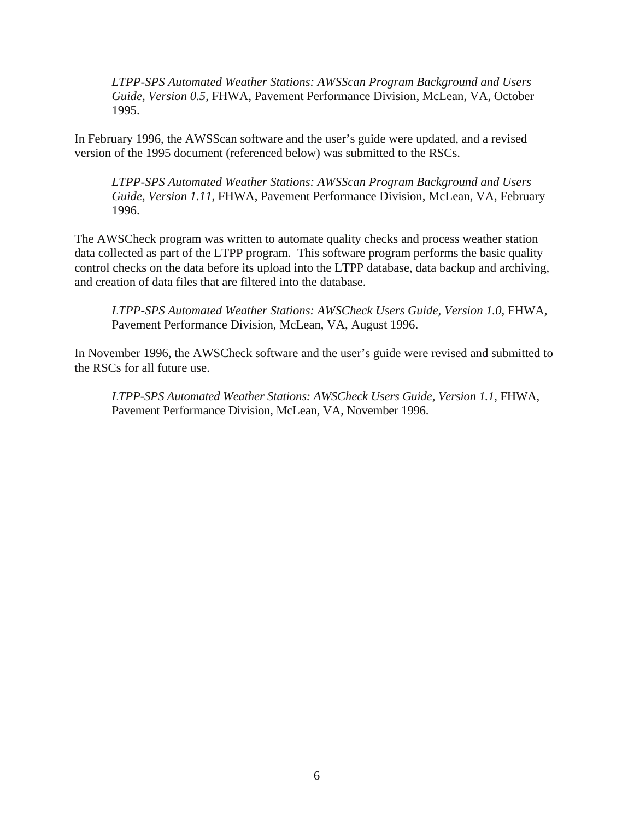*LTPP-SPS Automated Weather Stations: AWSScan Program Background and Users Guide, Version 0.5*, FHWA, Pavement Performance Division, McLean, VA, October 1995.

In February 1996, the AWSScan software and the user's guide were updated, and a revised version of the 1995 document (referenced below) was submitted to the RSCs.

*LTPP-SPS Automated Weather Stations: AWSScan Program Background and Users Guide, Version 1.11*, FHWA, Pavement Performance Division, McLean, VA, February 1996.

The AWSCheck program was written to automate quality checks and process weather station data collected as part of the LTPP program. This software program performs the basic quality control checks on the data before its upload into the LTPP database, data backup and archiving, and creation of data files that are filtered into the database.

*LTPP-SPS Automated Weather Stations: AWSCheck Users Guide, Version 1.0*, FHWA, Pavement Performance Division, McLean, VA, August 1996.

In November 1996, the AWSCheck software and the user's guide were revised and submitted to the RSCs for all future use.

*LTPP-SPS Automated Weather Stations: AWSCheck Users Guide, Version 1.1*, FHWA, Pavement Performance Division, McLean, VA, November 1996.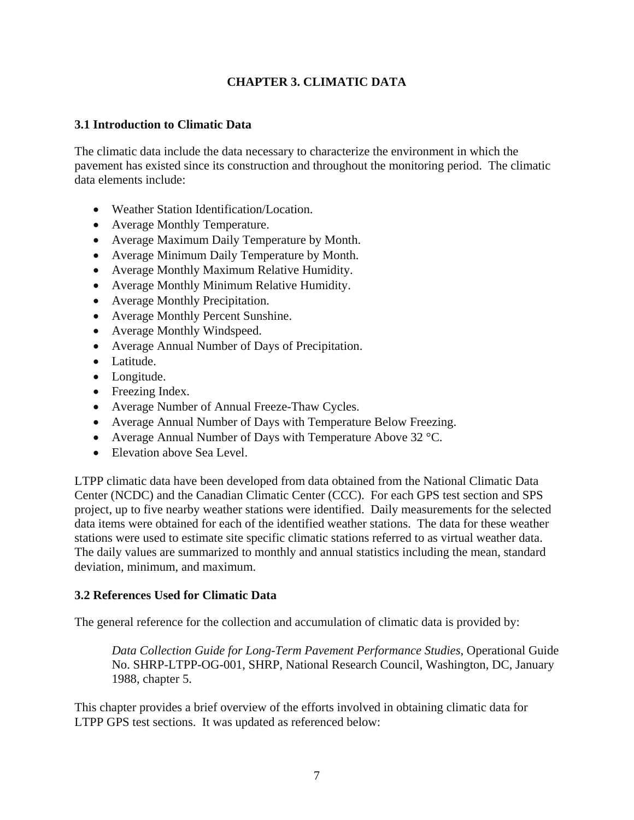# **CHAPTER 3. CLIMATIC DATA**

# <span id="page-16-0"></span>**3.1 Introduction to Climatic Data**

The climatic data include the data necessary to characterize the environment in which the pavement has existed since its construction and throughout the monitoring period. The climatic data elements include:

- Weather Station Identification/Location.
- Average Monthly Temperature.
- Average Maximum Daily Temperature by Month.
- Average Minimum Daily Temperature by Month.
- Average Monthly Maximum Relative Humidity.
- Average Monthly Minimum Relative Humidity.
- Average Monthly Precipitation.
- Average Monthly Percent Sunshine.
- Average Monthly Windspeed.
- Average Annual Number of Days of Precipitation.
- Latitude.
- Longitude.
- Freezing Index.
- Average Number of Annual Freeze-Thaw Cycles.
- Average Annual Number of Days with Temperature Below Freezing.
- Average Annual Number of Days with Temperature Above 32 °C.
- Elevation above Sea Level.

LTPP climatic data have been developed from data obtained from the National Climatic Data Center (NCDC) and the Canadian Climatic Center (CCC). For each GPS test section and SPS project, up to five nearby weather stations were identified. Daily measurements for the selected data items were obtained for each of the identified weather stations. The data for these weather stations were used to estimate site specific climatic stations referred to as virtual weather data. The daily values are summarized to monthly and annual statistics including the mean, standard deviation, minimum, and maximum.

# **3.2 References Used for Climatic Data**

The general reference for the collection and accumulation of climatic data is provided by:

*Data Collection Guide for Long-Term Pavement Performance Studies*, Operational Guide No. SHRP-LTPP-OG-001, SHRP, National Research Council, Washington, DC, January 1988, chapter 5.

This chapter provides a brief overview of the efforts involved in obtaining climatic data for LTPP GPS test sections. It was updated as referenced below: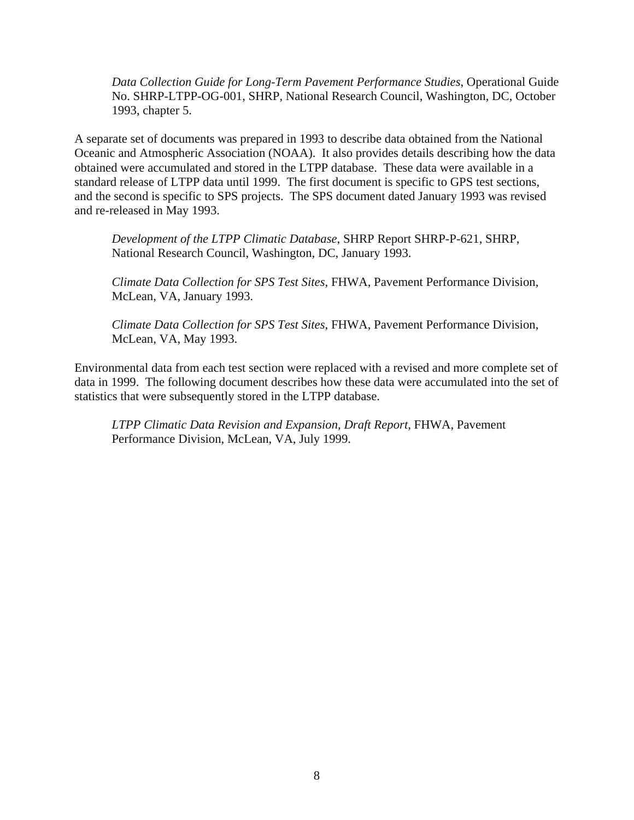*Data Collection Guide for Long-Term Pavement Performance Studies*, Operational Guide No. SHRP-LTPP-OG-001, SHRP, National Research Council, Washington, DC, October 1993, chapter 5.

A separate set of documents was prepared in 1993 to describe data obtained from the National Oceanic and Atmospheric Association (NOAA). It also provides details describing how the data obtained were accumulated and stored in the LTPP database. These data were available in a standard release of LTPP data until 1999. The first document is specific to GPS test sections, and the second is specific to SPS projects. The SPS document dated January 1993 was revised and re-released in May 1993.

*Development of the LTPP Climatic Database*, SHRP Report SHRP-P-621, SHRP, National Research Council, Washington, DC, January 1993.

*Climate Data Collection for SPS Test Sites*, FHWA, Pavement Performance Division, McLean, VA, January 1993.

*Climate Data Collection for SPS Test Sites*, FHWA, Pavement Performance Division, McLean, VA, May 1993.

Environmental data from each test section were replaced with a revised and more complete set of data in 1999. The following document describes how these data were accumulated into the set of statistics that were subsequently stored in the LTPP database.

*LTPP Climatic Data Revision and Expansion, Draft Report*, FHWA, Pavement Performance Division, McLean, VA, July 1999.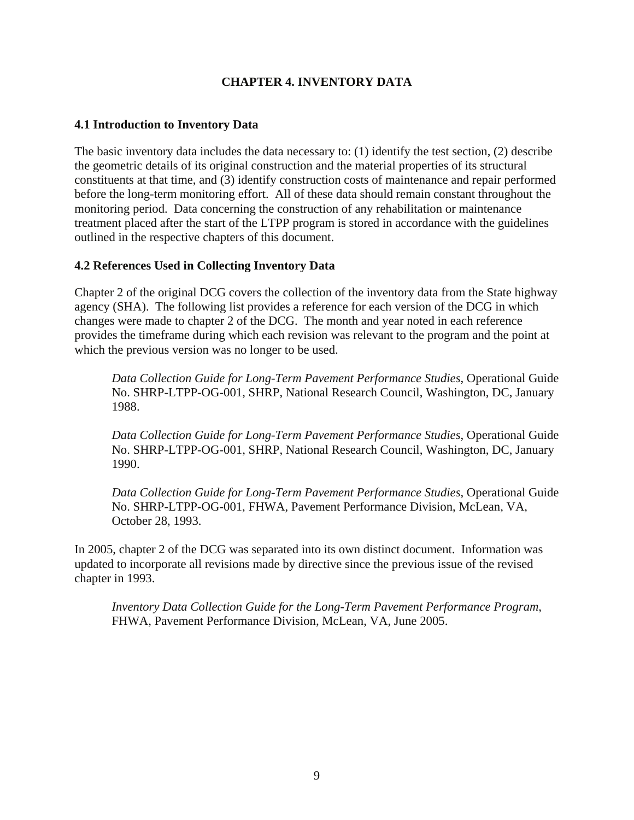# **CHAPTER 4. INVENTORY DATA**

# <span id="page-18-0"></span>**4.1 Introduction to Inventory Data**

The basic inventory data includes the data necessary to: (1) identify the test section, (2) describe the geometric details of its original construction and the material properties of its structural constituents at that time, and (3) identify construction costs of maintenance and repair performed before the long-term monitoring effort. All of these data should remain constant throughout the monitoring period. Data concerning the construction of any rehabilitation or maintenance treatment placed after the start of the LTPP program is stored in accordance with the guidelines outlined in the respective chapters of this document.

# **4.2 References Used in Collecting Inventory Data**

Chapter 2 of the original DCG covers the collection of the inventory data from the State highway agency (SHA). The following list provides a reference for each version of the DCG in which changes were made to chapter 2 of the DCG. The month and year noted in each reference provides the timeframe during which each revision was relevant to the program and the point at which the previous version was no longer to be used.

*Data Collection Guide for Long-Term Pavement Performance Studies*, Operational Guide No. SHRP-LTPP-OG-001, SHRP, National Research Council, Washington, DC, January 1988.

*Data Collection Guide for Long-Term Pavement Performance Studies*, Operational Guide No. SHRP-LTPP-OG-001, SHRP, National Research Council, Washington, DC, January 1990.

*Data Collection Guide for Long-Term Pavement Performance Studies*, Operational Guide No. SHRP-LTPP-OG-001, FHWA, Pavement Performance Division, McLean, VA, October 28, 1993.

In 2005, chapter 2 of the DCG was separated into its own distinct document. Information was updated to incorporate all revisions made by directive since the previous issue of the revised chapter in 1993.

*Inventory Data Collection Guide for the Long-Term Pavement Performance Program*, FHWA, Pavement Performance Division, McLean, VA, June 2005.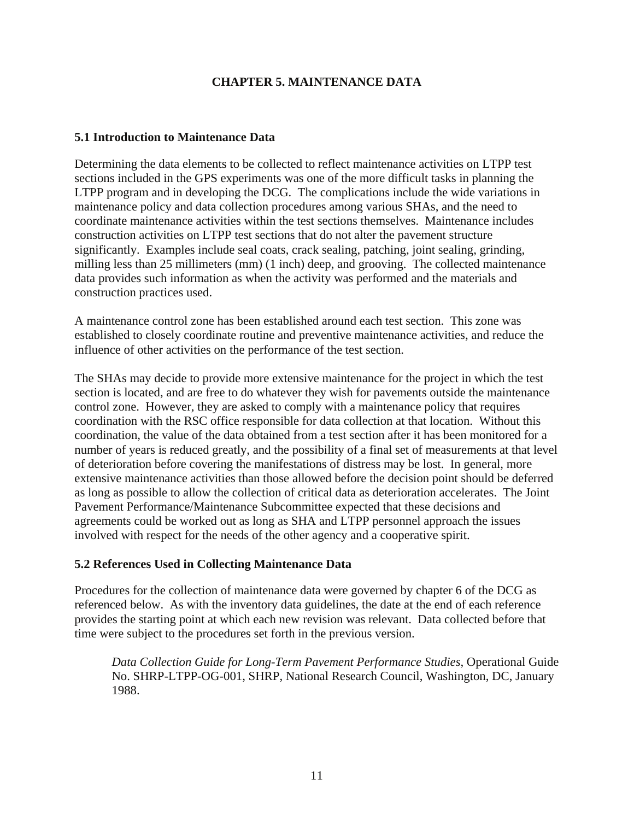# **CHAPTER 5. MAINTENANCE DATA**

## <span id="page-20-0"></span>**5.1 Introduction to Maintenance Data**

Determining the data elements to be collected to reflect maintenance activities on LTPP test sections included in the GPS experiments was one of the more difficult tasks in planning the LTPP program and in developing the DCG. The complications include the wide variations in maintenance policy and data collection procedures among various SHAs, and the need to coordinate maintenance activities within the test sections themselves. Maintenance includes construction activities on LTPP test sections that do not alter the pavement structure significantly. Examples include seal coats, crack sealing, patching, joint sealing, grinding, milling less than 25 millimeters (mm) (1 inch) deep, and grooving. The collected maintenance data provides such information as when the activity was performed and the materials and construction practices used.

A maintenance control zone has been established around each test section. This zone was established to closely coordinate routine and preventive maintenance activities, and reduce the influence of other activities on the performance of the test section.

The SHAs may decide to provide more extensive maintenance for the project in which the test section is located, and are free to do whatever they wish for pavements outside the maintenance control zone. However, they are asked to comply with a maintenance policy that requires coordination with the RSC office responsible for data collection at that location. Without this coordination, the value of the data obtained from a test section after it has been monitored for a number of years is reduced greatly, and the possibility of a final set of measurements at that level of deterioration before covering the manifestations of distress may be lost. In general, more extensive maintenance activities than those allowed before the decision point should be deferred as long as possible to allow the collection of critical data as deterioration accelerates. The Joint Pavement Performance/Maintenance Subcommittee expected that these decisions and agreements could be worked out as long as SHA and LTPP personnel approach the issues involved with respect for the needs of the other agency and a cooperative spirit.

# **5.2 References Used in Collecting Maintenance Data**

Procedures for the collection of maintenance data were governed by chapter 6 of the DCG as referenced below. As with the inventory data guidelines, the date at the end of each reference provides the starting point at which each new revision was relevant. Data collected before that time were subject to the procedures set forth in the previous version.

*Data Collection Guide for Long-Term Pavement Performance Studies*, Operational Guide No. SHRP-LTPP-OG-001, SHRP, National Research Council, Washington, DC, January 1988.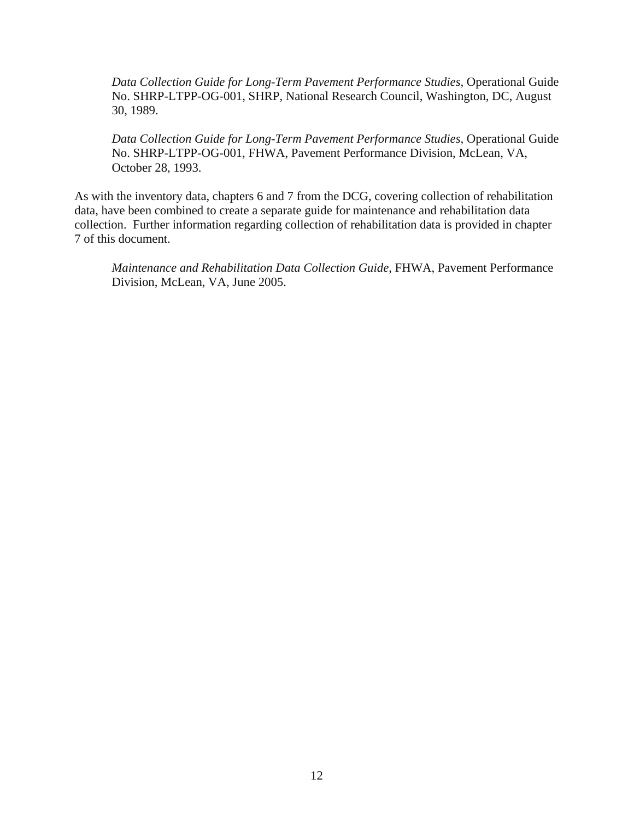*Data Collection Guide for Long-Term Pavement Performance Studies*, Operational Guide No. SHRP-LTPP-OG-001, SHRP, National Research Council, Washington, DC, August 30, 1989.

*Data Collection Guide for Long-Term Pavement Performance Studies*, Operational Guide No. SHRP-LTPP-OG-001, FHWA, Pavement Performance Division, McLean, VA, October 28, 1993.

As with the inventory data, chapters 6 and 7 from the DCG, covering collection of rehabilitation data, have been combined to create a separate guide for maintenance and rehabilitation data collection. Further information regarding collection of rehabilitation data is provided in chapter 7 of this document.

*Maintenance and Rehabilitation Data Collection Guide*, FHWA, Pavement Performance Division, McLean, VA, June 2005.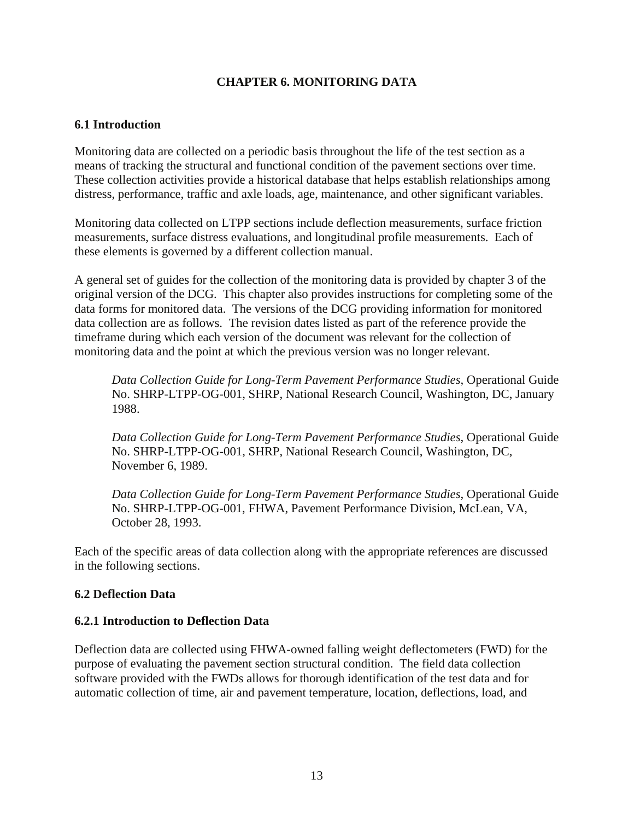# **CHAPTER 6. MONITORING DATA**

# <span id="page-22-0"></span>**6.1 Introduction**

Monitoring data are collected on a periodic basis throughout the life of the test section as a means of tracking the structural and functional condition of the pavement sections over time. These collection activities provide a historical database that helps establish relationships among distress, performance, traffic and axle loads, age, maintenance, and other significant variables.

Monitoring data collected on LTPP sections include deflection measurements, surface friction measurements, surface distress evaluations, and longitudinal profile measurements. Each of these elements is governed by a different collection manual.

A general set of guides for the collection of the monitoring data is provided by chapter 3 of the original version of the DCG. This chapter also provides instructions for completing some of the data forms for monitored data. The versions of the DCG providing information for monitored data collection are as follows. The revision dates listed as part of the reference provide the timeframe during which each version of the document was relevant for the collection of monitoring data and the point at which the previous version was no longer relevant.

*Data Collection Guide for Long-Term Pavement Performance Studies*, Operational Guide No. SHRP-LTPP-OG-001, SHRP, National Research Council, Washington, DC, January 1988.

*Data Collection Guide for Long-Term Pavement Performance Studies*, Operational Guide No. SHRP-LTPP-OG-001, SHRP, National Research Council, Washington, DC, November 6, 1989.

*Data Collection Guide for Long-Term Pavement Performance Studies*, Operational Guide No. SHRP-LTPP-OG-001, FHWA, Pavement Performance Division, McLean, VA, October 28, 1993.

Each of the specific areas of data collection along with the appropriate references are discussed in the following sections.

# **6.2 Deflection Data**

# **6.2.1 Introduction to Deflection Data**

Deflection data are collected using FHWA-owned falling weight deflectometers (FWD) for the purpose of evaluating the pavement section structural condition. The field data collection software provided with the FWDs allows for thorough identification of the test data and for automatic collection of time, air and pavement temperature, location, deflections, load, and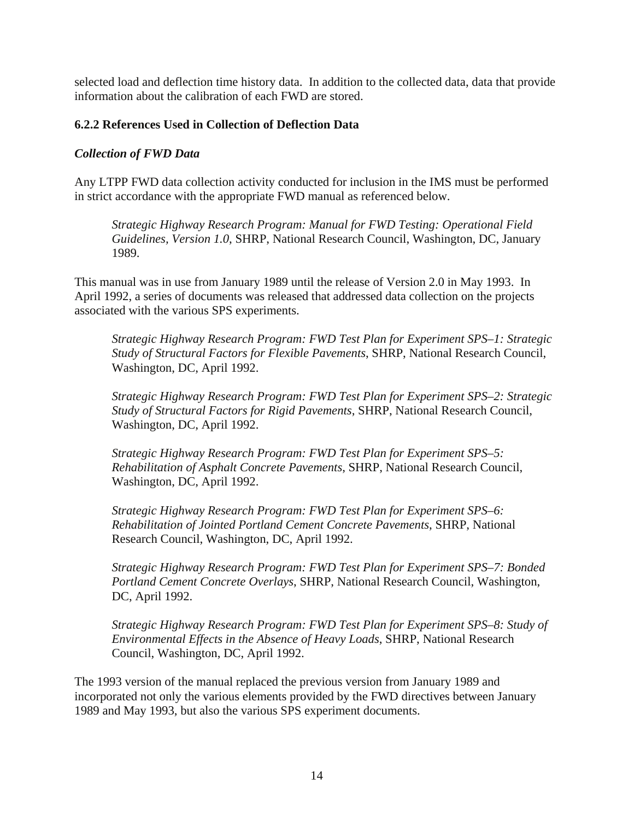<span id="page-23-0"></span>selected load and deflection time history data. In addition to the collected data, data that provide information about the calibration of each FWD are stored.

# **6.2.2 References Used in Collection of Deflection Data**

#### *Collection of FWD Data*

Any LTPP FWD data collection activity conducted for inclusion in the IMS must be performed in strict accordance with the appropriate FWD manual as referenced below.

*Strategic Highway Research Program: Manual for FWD Testing: Operational Field Guidelines, Version 1.0*, SHRP, National Research Council, Washington, DC, January 1989.

This manual was in use from January 1989 until the release of Version 2.0 in May 1993. In April 1992, a series of documents was released that addressed data collection on the projects associated with the various SPS experiments.

*Strategic Highway Research Program: FWD Test Plan for Experiment SPS–1: Strategic Study of Structural Factors for Flexible Pavements*, SHRP, National Research Council, Washington, DC, April 1992.

*Strategic Highway Research Program: FWD Test Plan for Experiment SPS–2: Strategic Study of Structural Factors for Rigid Pavements*, SHRP, National Research Council, Washington, DC, April 1992.

*Strategic Highway Research Program: FWD Test Plan for Experiment SPS–5: Rehabilitation of Asphalt Concrete Pavements*, SHRP, National Research Council, Washington, DC, April 1992.

*Strategic Highway Research Program: FWD Test Plan for Experiment SPS–6: Rehabilitation of Jointed Portland Cement Concrete Pavements*, SHRP, National Research Council, Washington, DC, April 1992.

*Strategic Highway Research Program: FWD Test Plan for Experiment SPS–7: Bonded Portland Cement Concrete Overlays*, SHRP, National Research Council, Washington, DC, April 1992.

*Strategic Highway Research Program: FWD Test Plan for Experiment SPS–8: Study of Environmental Effects in the Absence of Heavy Loads*, SHRP, National Research Council, Washington, DC, April 1992.

The 1993 version of the manual replaced the previous version from January 1989 and incorporated not only the various elements provided by the FWD directives between January 1989 and May 1993, but also the various SPS experiment documents.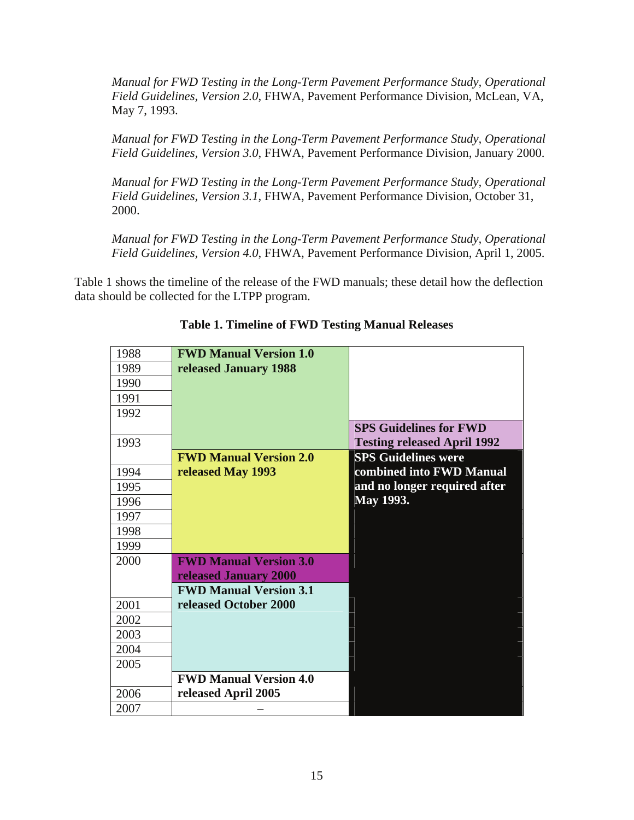<span id="page-24-0"></span>*Manual for FWD Testing in the Long-Term Pavement Performance Study, Operational Field Guidelines, Version 2.0*, FHWA, Pavement Performance Division, McLean, VA, May 7, 1993.

*Manual for FWD Testing in the Long-Term Pavement Performance Study, Operational Field Guidelines, Version 3.0*, FHWA, Pavement Performance Division, January 2000.

*Manual for FWD Testing in the Long-Term Pavement Performance Study, Operational Field Guidelines, Version 3.1*, FHWA, Pavement Performance Division, October 31, 2000.

*Manual for FWD Testing in the Long-Term Pavement Performance Study, Operational Field Guidelines, Version 4.0*, FHWA, Pavement Performance Division, April 1, 2005.

Table 1 shows the timeline of the release of the FWD manuals; these detail how the deflection data should be collected for the LTPP program.

| 1988 | <b>FWD Manual Version 1.0</b> |                                    |
|------|-------------------------------|------------------------------------|
| 1989 | released January 1988         |                                    |
| 1990 |                               |                                    |
| 1991 |                               |                                    |
| 1992 |                               |                                    |
|      |                               | <b>SPS Guidelines for FWD</b>      |
| 1993 |                               | <b>Testing released April 1992</b> |
|      | <b>FWD Manual Version 2.0</b> | <b>SPS Guidelines were</b>         |
| 1994 | released May 1993             | combined into FWD Manual           |
| 1995 |                               | and no longer required after       |
| 1996 |                               | May 1993.                          |
| 1997 |                               |                                    |
| 1998 |                               |                                    |
| 1999 |                               |                                    |
| 2000 | <b>FWD Manual Version 3.0</b> |                                    |
|      | released January 2000         |                                    |
|      | <b>FWD Manual Version 3.1</b> |                                    |
| 2001 | released October 2000         |                                    |
| 2002 |                               |                                    |
| 2003 |                               |                                    |
| 2004 |                               |                                    |
| 2005 |                               |                                    |
|      | <b>FWD Manual Version 4.0</b> |                                    |
| 2006 | released April 2005           |                                    |
| 2007 |                               |                                    |

**Table 1. Timeline of FWD Testing Manual Releases**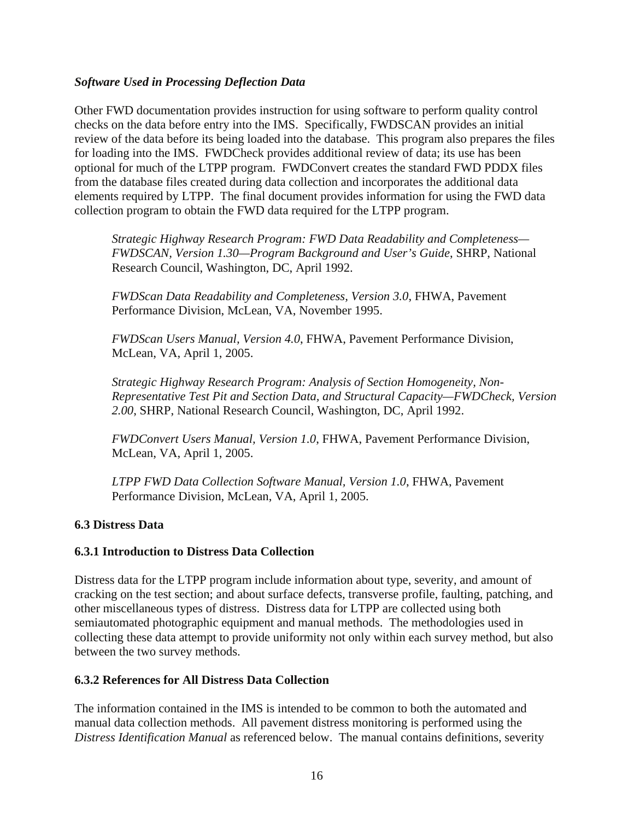# <span id="page-25-0"></span>*Software Used in Processing Deflection Data*

Other FWD documentation provides instruction for using software to perform quality control checks on the data before entry into the IMS. Specifically, FWDSCAN provides an initial review of the data before its being loaded into the database. This program also prepares the files for loading into the IMS. FWDCheck provides additional review of data; its use has been optional for much of the LTPP program. FWDConvert creates the standard FWD PDDX files from the database files created during data collection and incorporates the additional data elements required by LTPP. The final document provides information for using the FWD data collection program to obtain the FWD data required for the LTPP program.

*Strategic Highway Research Program: FWD Data Readability and Completeness— FWDSCAN, Version 1.30—Program Background and User's Guide*, SHRP, National Research Council, Washington, DC, April 1992.

*FWDScan Data Readability and Completeness, Version 3.0*, FHWA, Pavement Performance Division, McLean, VA, November 1995.

*FWDScan Users Manual, Version 4.0*, FHWA, Pavement Performance Division, McLean, VA, April 1, 2005.

*Strategic Highway Research Program: Analysis of Section Homogeneity, Non-Representative Test Pit and Section Data, and Structural Capacity—FWDCheck, Version 2.00*, SHRP, National Research Council, Washington, DC, April 1992.

*FWDConvert Users Manual, Version 1.0*, FHWA, Pavement Performance Division, McLean, VA, April 1, 2005.

*LTPP FWD Data Collection Software Manual, Version 1.0*, FHWA, Pavement Performance Division, McLean, VA, April 1, 2005.

#### **6.3 Distress Data**

#### **6.3.1 Introduction to Distress Data Collection**

Distress data for the LTPP program include information about type, severity, and amount of cracking on the test section; and about surface defects, transverse profile, faulting, patching, and other miscellaneous types of distress. Distress data for LTPP are collected using both semiautomated photographic equipment and manual methods. The methodologies used in collecting these data attempt to provide uniformity not only within each survey method, but also between the two survey methods.

# **6.3.2 References for All Distress Data Collection**

The information contained in the IMS is intended to be common to both the automated and manual data collection methods. All pavement distress monitoring is performed using the *Distress Identification Manual* as referenced below. The manual contains definitions, severity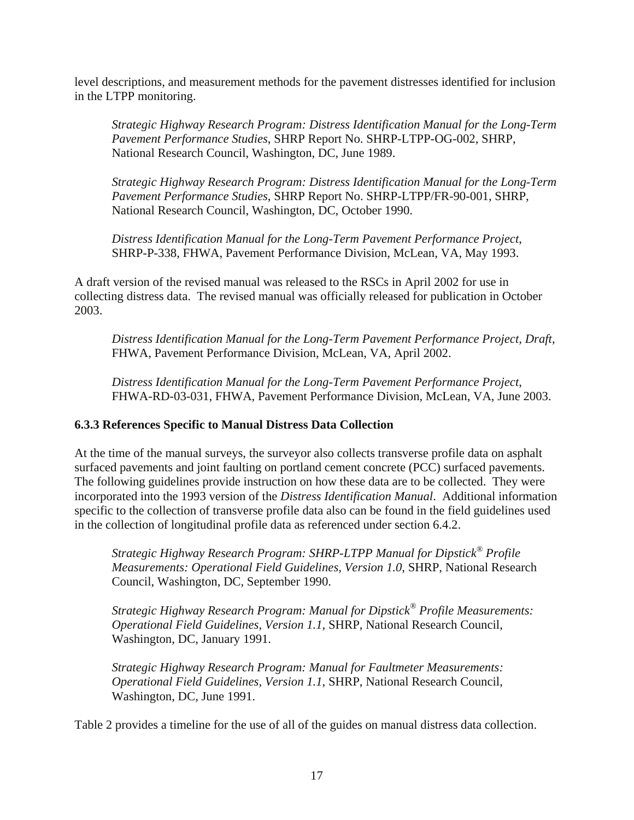<span id="page-26-0"></span>level descriptions, and measurement methods for the pavement distresses identified for inclusion in the LTPP monitoring.

*Strategic Highway Research Program: Distress Identification Manual for the Long-Term Pavement Performance Studies*, SHRP Report No. SHRP-LTPP-OG-002, SHRP, National Research Council, Washington, DC, June 1989.

*Strategic Highway Research Program: Distress Identification Manual for the Long-Term Pavement Performance Studies*, SHRP Report No. SHRP-LTPP/FR-90-001, SHRP, National Research Council, Washington, DC, October 1990.

*Distress Identification Manual for the Long-Term Pavement Performance Project*, SHRP-P-338, FHWA, Pavement Performance Division, McLean, VA, May 1993.

A draft version of the revised manual was released to the RSCs in April 2002 for use in collecting distress data. The revised manual was officially released for publication in October 2003.

*Distress Identification Manual for the Long-Term Pavement Performance Project, Draft*, FHWA, Pavement Performance Division, McLean, VA, April 2002.

*Distress Identification Manual for the Long-Term Pavement Performance Project*, FHWA-RD-03-031, FHWA, Pavement Performance Division, McLean, VA, June 2003.

# **6.3.3 References Specific to Manual Distress Data Collection**

At the time of the manual surveys, the surveyor also collects transverse profile data on asphalt surfaced pavements and joint faulting on portland cement concrete (PCC) surfaced pavements. The following guidelines provide instruction on how these data are to be collected. They were incorporated into the 1993 version of the *Distress Identification Manual*. Additional information specific to the collection of transverse profile data also can be found in the field guidelines used in the collection of longitudinal profile data as referenced under section 6.4.2.

*Strategic Highway Research Program: SHRP-LTPP Manual for Dipstick® Profile Measurements: Operational Field Guidelines, Version 1.0*, SHRP, National Research Council, Washington, DC, September 1990.

*Strategic Highway Research Program: Manual for Dipstick® Profile Measurements: Operational Field Guidelines, Version 1.1*, SHRP, National Research Council, Washington, DC, January 1991.

*Strategic Highway Research Program: Manual for Faultmeter Measurements: Operational Field Guidelines, Version 1.1*, SHRP, National Research Council, Washington, DC, June 1991.

Table 2 provides a timeline for the use of all of the guides on manual distress data collection.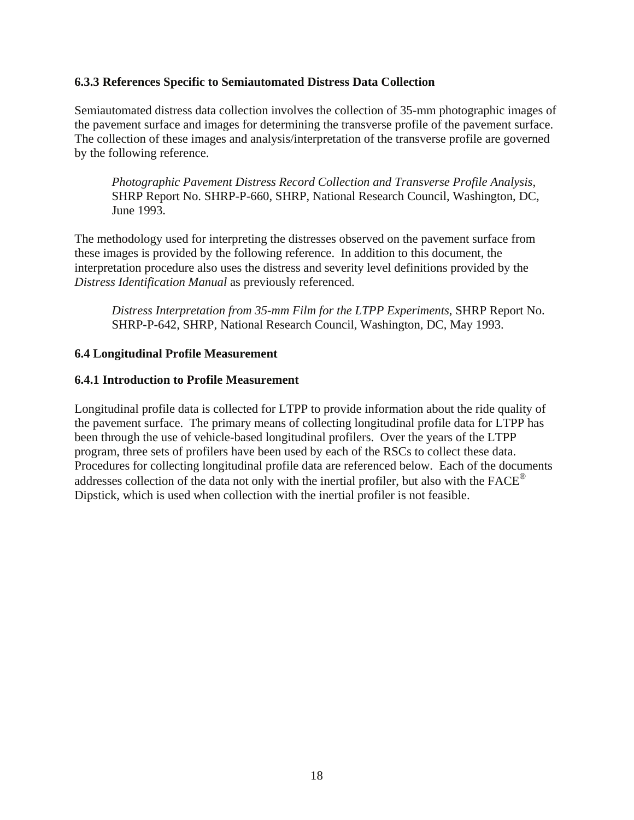## <span id="page-27-0"></span>**6.3.3 References Specific to Semiautomated Distress Data Collection**

Semiautomated distress data collection involves the collection of 35-mm photographic images of the pavement surface and images for determining the transverse profile of the pavement surface. The collection of these images and analysis/interpretation of the transverse profile are governed by the following reference.

*Photographic Pavement Distress Record Collection and Transverse Profile Analysis*, SHRP Report No. SHRP-P-660, SHRP, National Research Council, Washington, DC, June 1993.

The methodology used for interpreting the distresses observed on the pavement surface from these images is provided by the following reference. In addition to this document, the interpretation procedure also uses the distress and severity level definitions provided by the *Distress Identification Manual* as previously referenced.

*Distress Interpretation from 35-mm Film for the LTPP Experiments*, SHRP Report No. SHRP-P-642, SHRP, National Research Council, Washington, DC, May 1993.

## **6.4 Longitudinal Profile Measurement**

#### **6.4.1 Introduction to Profile Measurement**

Longitudinal profile data is collected for LTPP to provide information about the ride quality of the pavement surface. The primary means of collecting longitudinal profile data for LTPP has been through the use of vehicle-based longitudinal profilers. Over the years of the LTPP program, three sets of profilers have been used by each of the RSCs to collect these data. Procedures for collecting longitudinal profile data are referenced below. Each of the documents addresses collection of the data not only with the inertial profiler, but also with the FACE® Dipstick, which is used when collection with the inertial profiler is not feasible.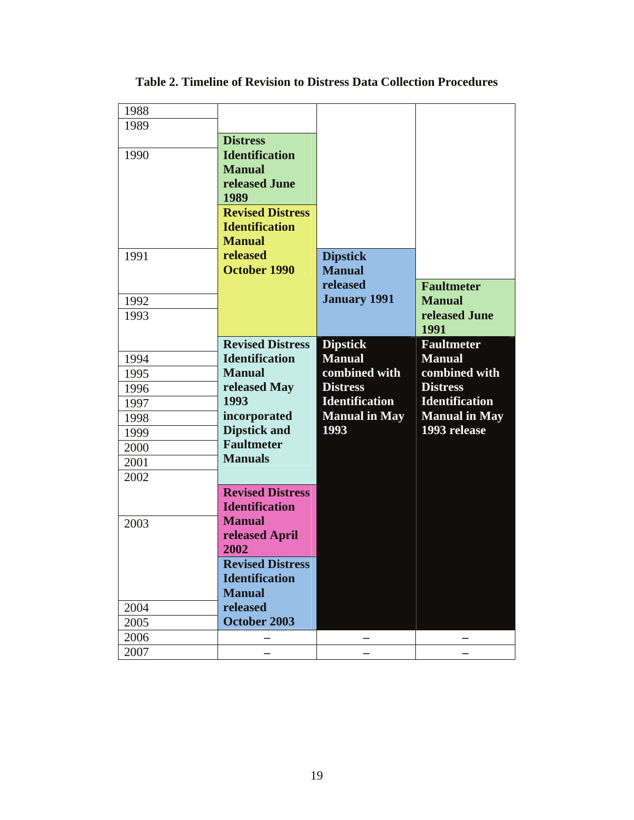| 1988 |                         |                       |                       |
|------|-------------------------|-----------------------|-----------------------|
| 1989 |                         |                       |                       |
|      | <b>Distress</b>         |                       |                       |
| 1990 | <b>Identification</b>   |                       |                       |
|      | <b>Manual</b>           |                       |                       |
|      | released June           |                       |                       |
|      | 1989                    |                       |                       |
|      | <b>Revised Distress</b> |                       |                       |
|      | <b>Identification</b>   |                       |                       |
|      | <b>Manual</b>           |                       |                       |
| 1991 | released                | <b>Dipstick</b>       |                       |
|      | <b>October 1990</b>     | <b>Manual</b>         |                       |
|      |                         | released              | <b>Faultmeter</b>     |
| 1992 |                         | <b>January 1991</b>   | <b>Manual</b>         |
| 1993 |                         |                       | released June         |
|      |                         |                       | 1991                  |
|      | <b>Revised Distress</b> | <b>Dipstick</b>       | <b>Faultmeter</b>     |
| 1994 | <b>Identification</b>   | <b>Manual</b>         | <b>Manual</b>         |
| 1995 | <b>Manual</b>           | combined with         | combined with         |
| 1996 | released May            | <b>Distress</b>       | <b>Distress</b>       |
| 1997 | 1993                    | <b>Identification</b> | <b>Identification</b> |
| 1998 | incorporated            | <b>Manual in May</b>  | <b>Manual in May</b>  |
| 1999 | <b>Dipstick and</b>     | 1993                  | 1993 release          |
| 2000 | <b>Faultmeter</b>       |                       |                       |
| 2001 | <b>Manuals</b>          |                       |                       |
| 2002 |                         |                       |                       |
|      | <b>Revised Distress</b> |                       |                       |
|      | <b>Identification</b>   |                       |                       |
| 2003 | <b>Manual</b>           |                       |                       |
|      | released April          |                       |                       |
|      | 2002                    |                       |                       |
|      | <b>Revised Distress</b> |                       |                       |
|      | <b>Identification</b>   |                       |                       |
|      | <b>Manual</b>           |                       |                       |
| 2004 | released                |                       |                       |
| 2005 | October 2003            |                       |                       |
| 2006 |                         |                       |                       |
| 2007 |                         |                       |                       |
|      |                         |                       |                       |

<span id="page-28-0"></span>**Table 2. Timeline of Revision to Distress Data Collection Procedures**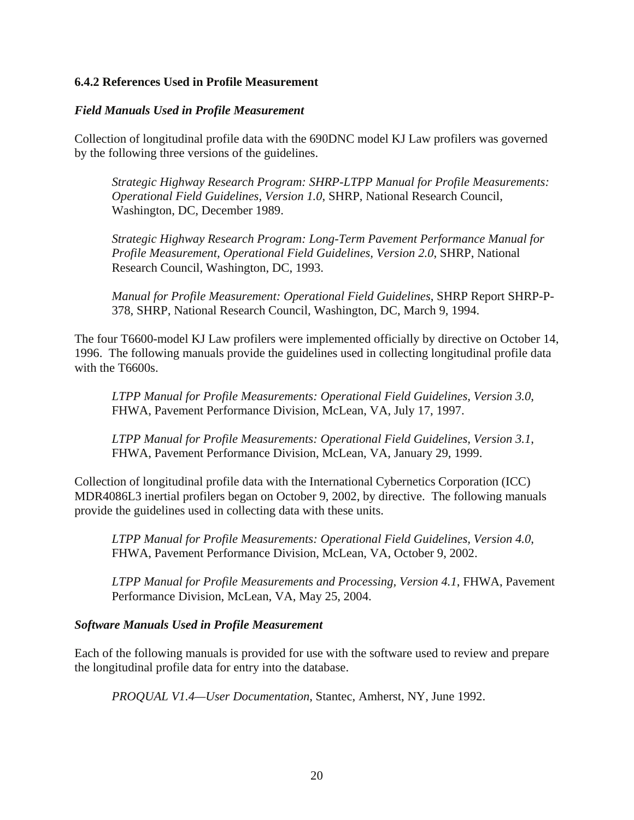## <span id="page-29-0"></span>**6.4.2 References Used in Profile Measurement**

#### *Field Manuals Used in Profile Measurement*

Collection of longitudinal profile data with the 690DNC model KJ Law profilers was governed by the following three versions of the guidelines.

*Strategic Highway Research Program: SHRP-LTPP Manual for Profile Measurements: Operational Field Guidelines, Version 1.0*, SHRP, National Research Council, Washington, DC, December 1989.

*Strategic Highway Research Program: Long-Term Pavement Performance Manual for Profile Measurement, Operational Field Guidelines, Version 2.0*, SHRP, National Research Council, Washington, DC, 1993.

*Manual for Profile Measurement: Operational Field Guidelines*, SHRP Report SHRP-P-378, SHRP, National Research Council, Washington, DC, March 9, 1994.

The four T6600-model KJ Law profilers were implemented officially by directive on October 14, 1996. The following manuals provide the guidelines used in collecting longitudinal profile data with the T6600s.

*LTPP Manual for Profile Measurements: Operational Field Guidelines, Version 3.0*, FHWA, Pavement Performance Division, McLean, VA, July 17, 1997.

*LTPP Manual for Profile Measurements: Operational Field Guidelines, Version 3.1*, FHWA, Pavement Performance Division, McLean, VA, January 29, 1999.

Collection of longitudinal profile data with the International Cybernetics Corporation (ICC) MDR4086L3 inertial profilers began on October 9, 2002, by directive. The following manuals provide the guidelines used in collecting data with these units.

*LTPP Manual for Profile Measurements: Operational Field Guidelines, Version 4.0*, FHWA, Pavement Performance Division, McLean, VA, October 9, 2002.

*LTPP Manual for Profile Measurements and Processing, Version 4.1*, FHWA, Pavement Performance Division, McLean, VA, May 25, 2004.

#### *Software Manuals Used in Profile Measurement*

Each of the following manuals is provided for use with the software used to review and prepare the longitudinal profile data for entry into the database.

*PROQUAL V1.4—User Documentation*, Stantec, Amherst, NY, June 1992.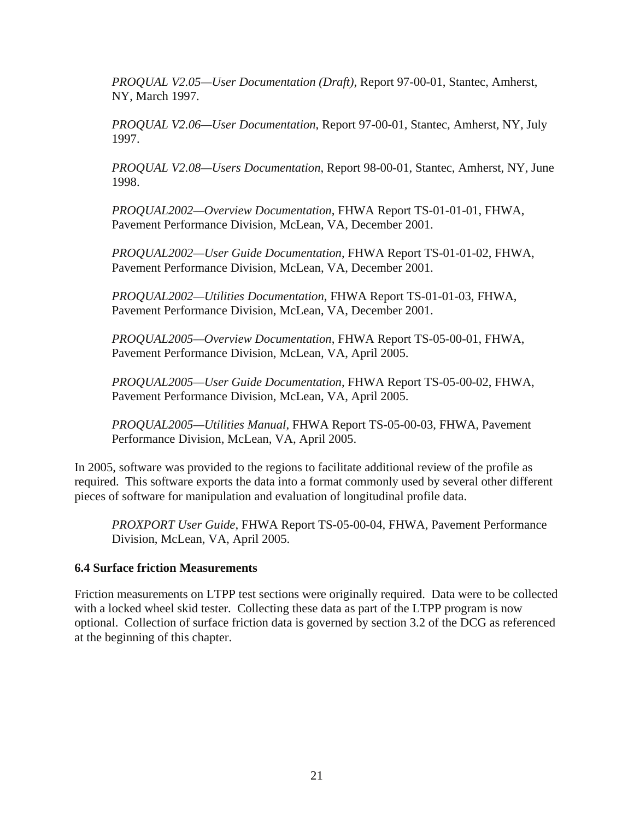<span id="page-30-0"></span>*PROQUAL V2.05—User Documentation (Draft)*, Report 97-00-01, Stantec, Amherst, NY, March 1997.

*PROQUAL V2.06—User Documentation*, Report 97-00-01, Stantec, Amherst, NY, July 1997.

*PROQUAL V2.08—Users Documentation*, Report 98-00-01, Stantec, Amherst, NY, June 1998.

*PROQUAL2002—Overview Documentation*, FHWA Report TS-01-01-01, FHWA, Pavement Performance Division, McLean, VA, December 2001.

*PROQUAL2002—User Guide Documentation*, FHWA Report TS-01-01-02, FHWA, Pavement Performance Division, McLean, VA, December 2001.

*PROQUAL2002—Utilities Documentation*, FHWA Report TS-01-01-03, FHWA, Pavement Performance Division, McLean, VA, December 2001.

*PROQUAL2005—Overview Documentation*, FHWA Report TS-05-00-01, FHWA, Pavement Performance Division, McLean, VA, April 2005.

*PROQUAL2005—User Guide Documentation*, FHWA Report TS-05-00-02, FHWA, Pavement Performance Division, McLean, VA, April 2005.

*PROQUAL2005—Utilities Manual*, FHWA Report TS-05-00-03, FHWA, Pavement Performance Division, McLean, VA, April 2005.

In 2005, software was provided to the regions to facilitate additional review of the profile as required. This software exports the data into a format commonly used by several other different pieces of software for manipulation and evaluation of longitudinal profile data.

*PROXPORT User Guide*, FHWA Report TS-05-00-04, FHWA, Pavement Performance Division, McLean, VA, April 2005.

#### **6.4 Surface friction Measurements**

Friction measurements on LTPP test sections were originally required. Data were to be collected with a locked wheel skid tester. Collecting these data as part of the LTPP program is now optional. Collection of surface friction data is governed by section 3.2 of the DCG as referenced at the beginning of this chapter.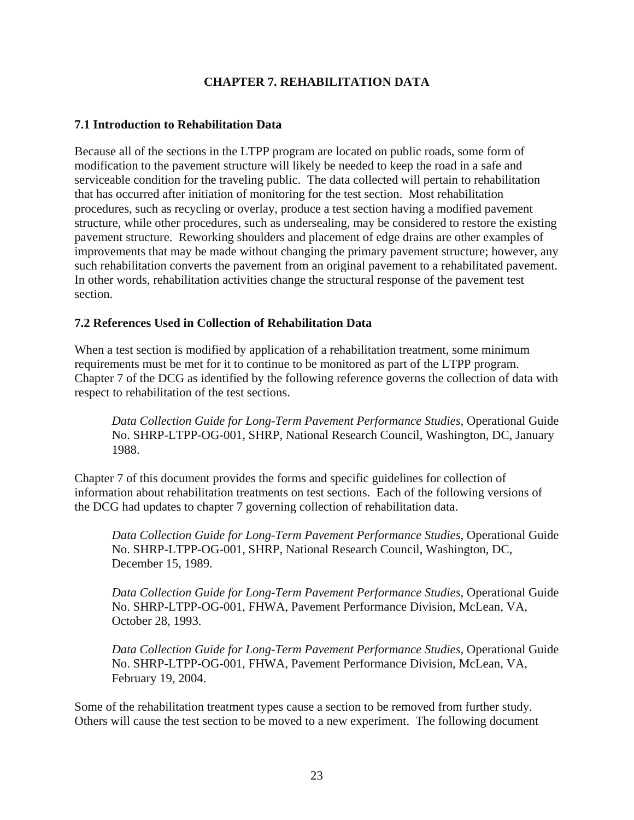# **CHAPTER 7. REHABILITATION DATA**

# <span id="page-32-0"></span>**7.1 Introduction to Rehabilitation Data**

Because all of the sections in the LTPP program are located on public roads, some form of modification to the pavement structure will likely be needed to keep the road in a safe and serviceable condition for the traveling public. The data collected will pertain to rehabilitation that has occurred after initiation of monitoring for the test section. Most rehabilitation procedures, such as recycling or overlay, produce a test section having a modified pavement structure, while other procedures, such as undersealing, may be considered to restore the existing pavement structure. Reworking shoulders and placement of edge drains are other examples of improvements that may be made without changing the primary pavement structure; however, any such rehabilitation converts the pavement from an original pavement to a rehabilitated pavement. In other words, rehabilitation activities change the structural response of the pavement test section.

## **7.2 References Used in Collection of Rehabilitation Data**

When a test section is modified by application of a rehabilitation treatment, some minimum requirements must be met for it to continue to be monitored as part of the LTPP program. Chapter 7 of the DCG as identified by the following reference governs the collection of data with respect to rehabilitation of the test sections.

*Data Collection Guide for Long-Term Pavement Performance Studies*, Operational Guide No. SHRP-LTPP-OG-001, SHRP, National Research Council, Washington, DC, January 1988.

Chapter 7 of this document provides the forms and specific guidelines for collection of information about rehabilitation treatments on test sections. Each of the following versions of the DCG had updates to chapter 7 governing collection of rehabilitation data.

*Data Collection Guide for Long-Term Pavement Performance Studies*, Operational Guide No. SHRP-LTPP-OG-001, SHRP, National Research Council, Washington, DC, December 15, 1989.

*Data Collection Guide for Long-Term Pavement Performance Studies*, Operational Guide No. SHRP-LTPP-OG-001, FHWA, Pavement Performance Division, McLean, VA, October 28, 1993.

*Data Collection Guide for Long-Term Pavement Performance Studies*, Operational Guide No. SHRP-LTPP-OG-001, FHWA, Pavement Performance Division, McLean, VA, February 19, 2004.

Some of the rehabilitation treatment types cause a section to be removed from further study. Others will cause the test section to be moved to a new experiment. The following document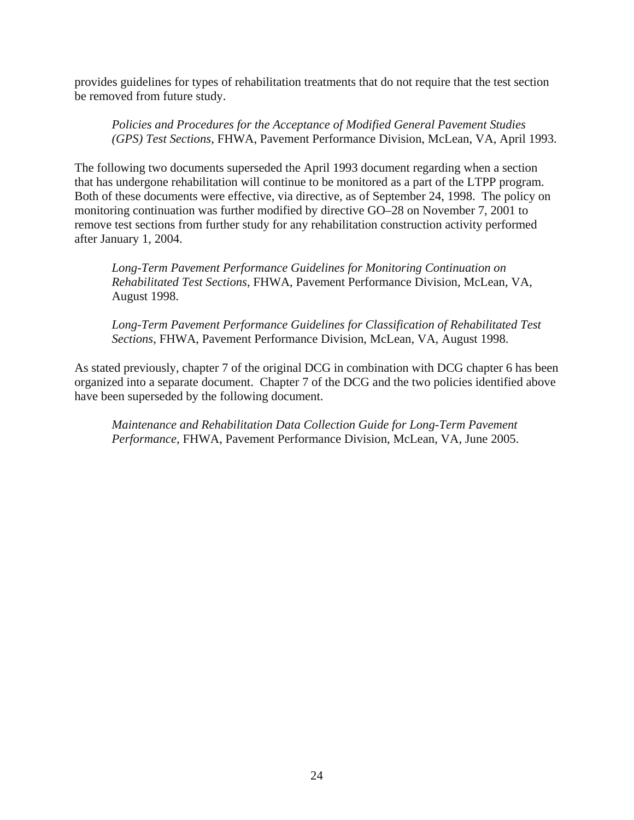provides guidelines for types of rehabilitation treatments that do not require that the test section be removed from future study.

*Policies and Procedures for the Acceptance of Modified General Pavement Studies (GPS) Test Sections*, FHWA, Pavement Performance Division, McLean, VA, April 1993.

The following two documents superseded the April 1993 document regarding when a section that has undergone rehabilitation will continue to be monitored as a part of the LTPP program. Both of these documents were effective, via directive, as of September 24, 1998. The policy on monitoring continuation was further modified by directive GO–28 on November 7, 2001 to remove test sections from further study for any rehabilitation construction activity performed after January 1, 2004.

*Long-Term Pavement Performance Guidelines for Monitoring Continuation on Rehabilitated Test Sections*, FHWA, Pavement Performance Division, McLean, VA, August 1998.

*Long-Term Pavement Performance Guidelines for Classification of Rehabilitated Test Sections*, FHWA, Pavement Performance Division, McLean, VA, August 1998.

As stated previously, chapter 7 of the original DCG in combination with DCG chapter 6 has been organized into a separate document. Chapter 7 of the DCG and the two policies identified above have been superseded by the following document.

*Maintenance and Rehabilitation Data Collection Guide for Long-Term Pavement Performance*, FHWA, Pavement Performance Division, McLean, VA, June 2005.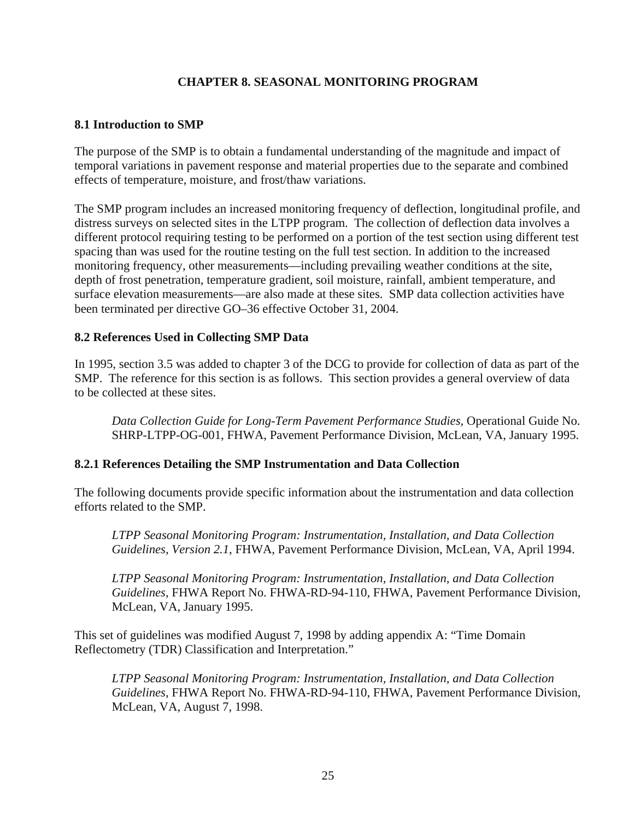# **CHAPTER 8. SEASONAL MONITORING PROGRAM**

# <span id="page-34-0"></span>**8.1 Introduction to SMP**

The purpose of the SMP is to obtain a fundamental understanding of the magnitude and impact of temporal variations in pavement response and material properties due to the separate and combined effects of temperature, moisture, and frost/thaw variations.

The SMP program includes an increased monitoring frequency of deflection, longitudinal profile, and distress surveys on selected sites in the LTPP program. The collection of deflection data involves a different protocol requiring testing to be performed on a portion of the test section using different test spacing than was used for the routine testing on the full test section. In addition to the increased monitoring frequency, other measurements—including prevailing weather conditions at the site, depth of frost penetration, temperature gradient, soil moisture, rainfall, ambient temperature, and surface elevation measurements—are also made at these sites. SMP data collection activities have been terminated per directive GO–36 effective October 31, 2004.

# **8.2 References Used in Collecting SMP Data**

In 1995, section 3.5 was added to chapter 3 of the DCG to provide for collection of data as part of the SMP. The reference for this section is as follows. This section provides a general overview of data to be collected at these sites.

*Data Collection Guide for Long-Term Pavement Performance Studies*, Operational Guide No. SHRP-LTPP-OG-001, FHWA, Pavement Performance Division, McLean, VA, January 1995.

# **8.2.1 References Detailing the SMP Instrumentation and Data Collection**

The following documents provide specific information about the instrumentation and data collection efforts related to the SMP.

*LTPP Seasonal Monitoring Program: Instrumentation, Installation, and Data Collection Guidelines, Version 2.1*, FHWA, Pavement Performance Division, McLean, VA, April 1994.

*LTPP Seasonal Monitoring Program: Instrumentation, Installation, and Data Collection Guidelines*, FHWA Report No. FHWA-RD-94-110, FHWA, Pavement Performance Division, McLean, VA, January 1995.

This set of guidelines was modified August 7, 1998 by adding appendix A: "Time Domain Reflectometry (TDR) Classification and Interpretation."

*LTPP Seasonal Monitoring Program: Instrumentation, Installation, and Data Collection Guidelines*, FHWA Report No. FHWA-RD-94-110, FHWA, Pavement Performance Division, McLean, VA, August 7, 1998.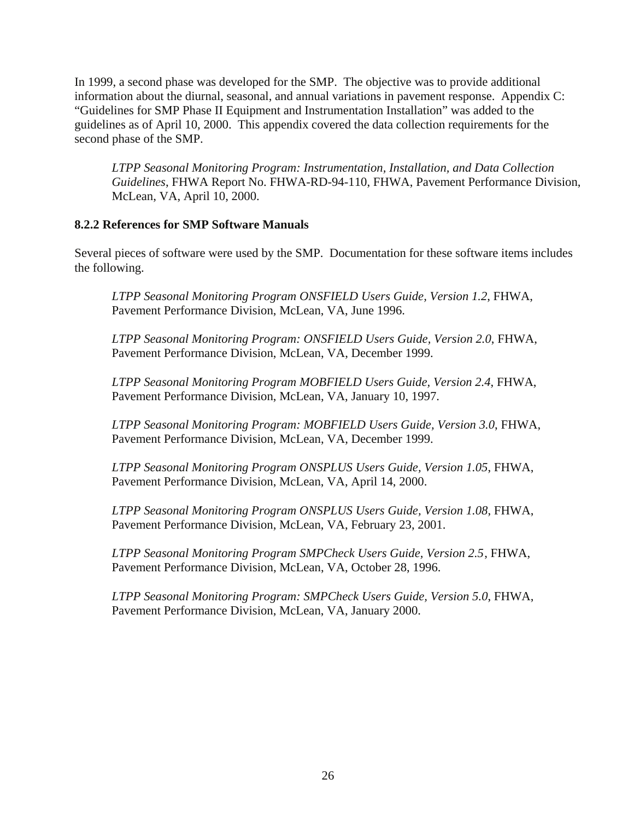<span id="page-35-0"></span>In 1999, a second phase was developed for the SMP. The objective was to provide additional information about the diurnal, seasonal, and annual variations in pavement response. Appendix C: "Guidelines for SMP Phase II Equipment and Instrumentation Installation" was added to the guidelines as of April 10, 2000. This appendix covered the data collection requirements for the second phase of the SMP.

*LTPP Seasonal Monitoring Program: Instrumentation, Installation, and Data Collection Guidelines*, FHWA Report No. FHWA-RD-94-110, FHWA, Pavement Performance Division, McLean, VA, April 10, 2000.

# **8.2.2 References for SMP Software Manuals**

Several pieces of software were used by the SMP. Documentation for these software items includes the following.

*LTPP Seasonal Monitoring Program ONSFIELD Users Guide, Version 1.2*, FHWA, Pavement Performance Division, McLean, VA, June 1996.

*LTPP Seasonal Monitoring Program: ONSFIELD Users Guide, Version 2.0*, FHWA, Pavement Performance Division, McLean, VA, December 1999.

*LTPP Seasonal Monitoring Program MOBFIELD Users Guide, Version 2.4*, FHWA, Pavement Performance Division, McLean, VA, January 10, 1997.

*LTPP Seasonal Monitoring Program: MOBFIELD Users Guide, Version 3.0*, FHWA, Pavement Performance Division, McLean, VA, December 1999.

*LTPP Seasonal Monitoring Program ONSPLUS Users Guide, Version 1.05*, FHWA, Pavement Performance Division, McLean, VA, April 14, 2000.

*LTPP Seasonal Monitoring Program ONSPLUS Users Guide, Version 1.08*, FHWA, Pavement Performance Division, McLean, VA, February 23, 2001.

*LTPP Seasonal Monitoring Program SMPCheck Users Guide, Version 2.5* , FHWA, Pavement Performance Division, McLean, VA, October 28, 1996.

*LTPP Seasonal Monitoring Program: SMPCheck Users Guide, Version 5.0*, FHWA, Pavement Performance Division, McLean, VA, January 2000.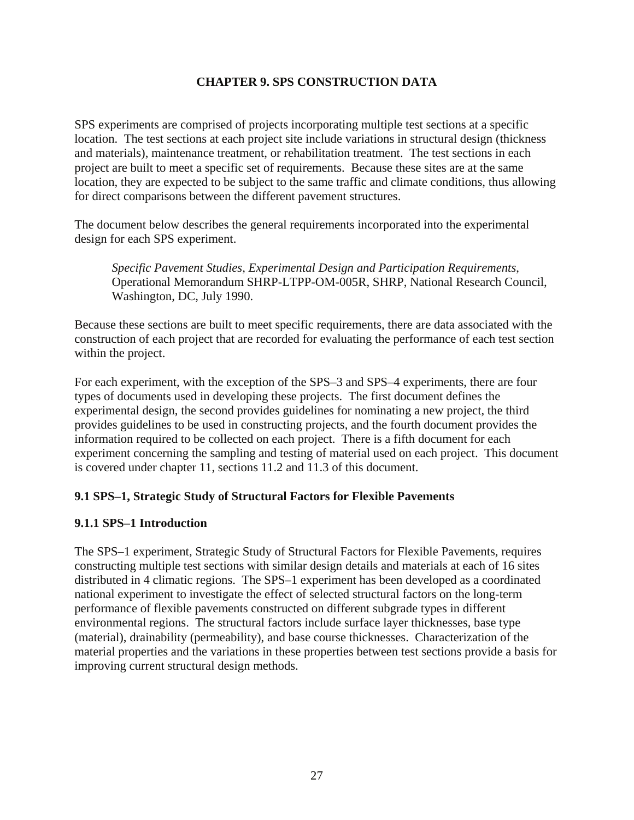# **CHAPTER 9. SPS CONSTRUCTION DATA**

<span id="page-36-0"></span>SPS experiments are comprised of projects incorporating multiple test sections at a specific location. The test sections at each project site include variations in structural design (thickness and materials), maintenance treatment, or rehabilitation treatment. The test sections in each project are built to meet a specific set of requirements. Because these sites are at the same location, they are expected to be subject to the same traffic and climate conditions, thus allowing for direct comparisons between the different pavement structures.

The document below describes the general requirements incorporated into the experimental design for each SPS experiment.

*Specific Pavement Studies, Experimental Design and Participation Requirements*, Operational Memorandum SHRP-LTPP-OM-005R, SHRP, National Research Council, Washington, DC, July 1990.

Because these sections are built to meet specific requirements, there are data associated with the construction of each project that are recorded for evaluating the performance of each test section within the project.

For each experiment, with the exception of the SPS–3 and SPS–4 experiments, there are four types of documents used in developing these projects. The first document defines the experimental design, the second provides guidelines for nominating a new project, the third provides guidelines to be used in constructing projects, and the fourth document provides the information required to be collected on each project. There is a fifth document for each experiment concerning the sampling and testing of material used on each project. This document is covered under chapter 11, sections 11.2 and 11.3 of this document.

# **9.1 SPS–1, Strategic Study of Structural Factors for Flexible Pavements**

# **9.1.1 SPS–1 Introduction**

The SPS–1 experiment, Strategic Study of Structural Factors for Flexible Pavements, requires constructing multiple test sections with similar design details and materials at each of 16 sites distributed in 4 climatic regions. The SPS–1 experiment has been developed as a coordinated national experiment to investigate the effect of selected structural factors on the long-term performance of flexible pavements constructed on different subgrade types in different environmental regions. The structural factors include surface layer thicknesses, base type (material), drainability (permeability), and base course thicknesses. Characterization of the material properties and the variations in these properties between test sections provide a basis for improving current structural design methods.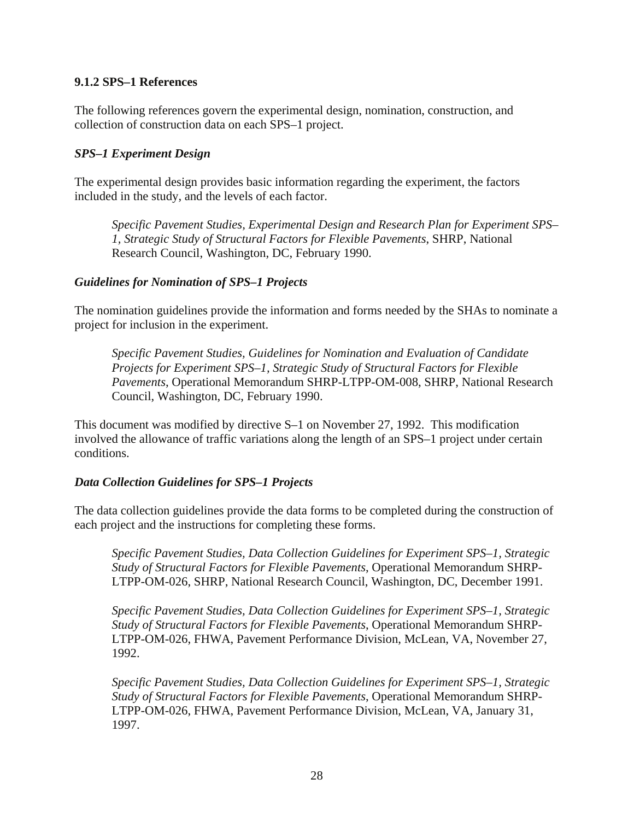## <span id="page-37-0"></span>**9.1.2 SPS–1 References**

The following references govern the experimental design, nomination, construction, and collection of construction data on each SPS–1 project.

#### *SPS–1 Experiment Design*

The experimental design provides basic information regarding the experiment, the factors included in the study, and the levels of each factor.

*Specific Pavement Studies, Experimental Design and Research Plan for Experiment SPS– 1, Strategic Study of Structural Factors for Flexible Pavements*, SHRP, National Research Council, Washington, DC, February 1990.

## *Guidelines for Nomination of SPS–1 Projects*

The nomination guidelines provide the information and forms needed by the SHAs to nominate a project for inclusion in the experiment.

*Specific Pavement Studies, Guidelines for Nomination and Evaluation of Candidate Projects for Experiment SPS–1, Strategic Study of Structural Factors for Flexible Pavements*, Operational Memorandum SHRP-LTPP-OM-008, SHRP, National Research Council, Washington, DC, February 1990.

This document was modified by directive S–1 on November 27, 1992. This modification involved the allowance of traffic variations along the length of an SPS–1 project under certain conditions.

# *Data Collection Guidelines for SPS–1 Projects*

The data collection guidelines provide the data forms to be completed during the construction of each project and the instructions for completing these forms.

*Specific Pavement Studies, Data Collection Guidelines for Experiment SPS–1, Strategic Study of Structural Factors for Flexible Pavements*, Operational Memorandum SHRP-LTPP-OM-026, SHRP, National Research Council, Washington, DC, December 1991.

*Specific Pavement Studies, Data Collection Guidelines for Experiment SPS–1, Strategic Study of Structural Factors for Flexible Pavements*, Operational Memorandum SHRP-LTPP-OM-026, FHWA, Pavement Performance Division, McLean, VA, November 27, 1992.

*Specific Pavement Studies, Data Collection Guidelines for Experiment SPS–1, Strategic Study of Structural Factors for Flexible Pavements*, Operational Memorandum SHRP-LTPP-OM-026, FHWA, Pavement Performance Division, McLean, VA, January 31, 1997.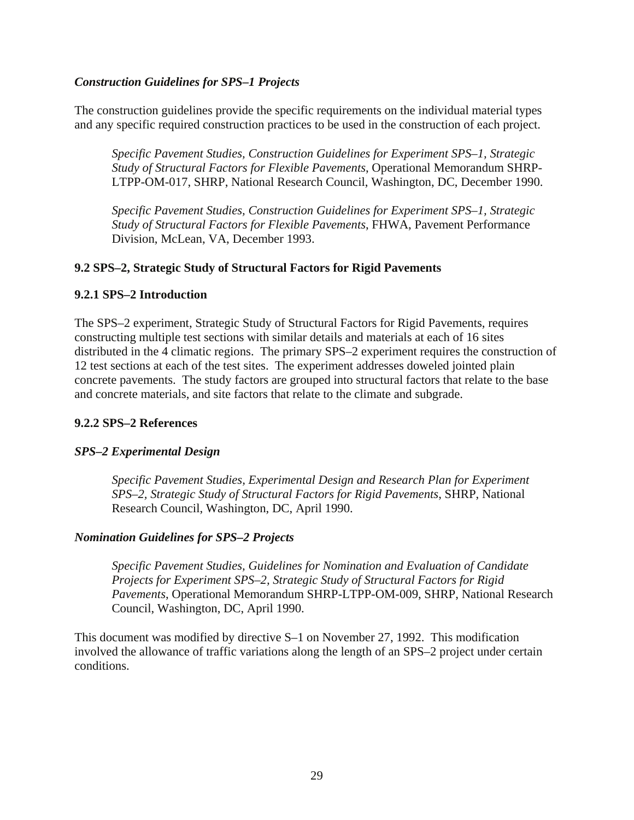# <span id="page-38-0"></span>*Construction Guidelines for SPS–1 Projects*

The construction guidelines provide the specific requirements on the individual material types and any specific required construction practices to be used in the construction of each project.

*Specific Pavement Studies, Construction Guidelines for Experiment SPS–1, Strategic Study of Structural Factors for Flexible Pavements*, Operational Memorandum SHRP-LTPP-OM-017, SHRP, National Research Council, Washington, DC, December 1990.

*Specific Pavement Studies, Construction Guidelines for Experiment SPS–1, Strategic Study of Structural Factors for Flexible Pavements*, FHWA, Pavement Performance Division, McLean, VA, December 1993.

# **9.2 SPS–2, Strategic Study of Structural Factors for Rigid Pavements**

## **9.2.1 SPS–2 Introduction**

The SPS–2 experiment, Strategic Study of Structural Factors for Rigid Pavements, requires constructing multiple test sections with similar details and materials at each of 16 sites distributed in the 4 climatic regions. The primary SPS–2 experiment requires the construction of 12 test sections at each of the test sites. The experiment addresses doweled jointed plain concrete pavements. The study factors are grouped into structural factors that relate to the base and concrete materials, and site factors that relate to the climate and subgrade.

#### **9.2.2 SPS–2 References**

#### *SPS–2 Experimental Design*

*Specific Pavement Studies, Experimental Design and Research Plan for Experiment SPS–2, Strategic Study of Structural Factors for Rigid Pavements*, SHRP, National Research Council, Washington, DC, April 1990.

#### *Nomination Guidelines for SPS–2 Projects*

*Specific Pavement Studies, Guidelines for Nomination and Evaluation of Candidate Projects for Experiment SPS–2, Strategic Study of Structural Factors for Rigid Pavements*, Operational Memorandum SHRP-LTPP-OM-009, SHRP, National Research Council, Washington, DC, April 1990.

This document was modified by directive S–1 on November 27, 1992. This modification involved the allowance of traffic variations along the length of an SPS–2 project under certain conditions.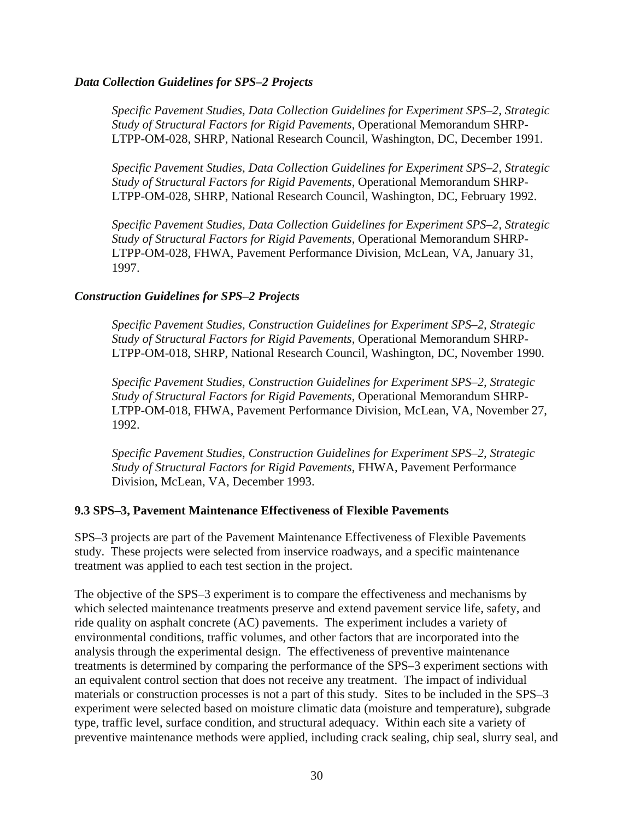#### <span id="page-39-0"></span>*Data Collection Guidelines for SPS–2 Projects*

*Specific Pavement Studies, Data Collection Guidelines for Experiment SPS–2, Strategic Study of Structural Factors for Rigid Pavements*, Operational Memorandum SHRP-LTPP-OM-028, SHRP, National Research Council, Washington, DC, December 1991.

*Specific Pavement Studies, Data Collection Guidelines for Experiment SPS–2, Strategic Study of Structural Factors for Rigid Pavements*, Operational Memorandum SHRP-LTPP-OM-028, SHRP, National Research Council, Washington, DC, February 1992.

*Specific Pavement Studies, Data Collection Guidelines for Experiment SPS–2, Strategic Study of Structural Factors for Rigid Pavements*, Operational Memorandum SHRP-LTPP-OM-028, FHWA, Pavement Performance Division, McLean, VA, January 31, 1997.

## *Construction Guidelines for SPS–2 Projects*

*Specific Pavement Studies, Construction Guidelines for Experiment SPS–2, Strategic Study of Structural Factors for Rigid Pavements*, Operational Memorandum SHRP-LTPP-OM-018, SHRP, National Research Council, Washington, DC, November 1990.

*Specific Pavement Studies, Construction Guidelines for Experiment SPS–2, Strategic Study of Structural Factors for Rigid Pavements*, Operational Memorandum SHRP-LTPP-OM-018, FHWA, Pavement Performance Division, McLean, VA, November 27, 1992.

*Specific Pavement Studies, Construction Guidelines for Experiment SPS–2, Strategic Study of Structural Factors for Rigid Pavements*, FHWA, Pavement Performance Division, McLean, VA, December 1993.

#### **9.3 SPS–3, Pavement Maintenance Effectiveness of Flexible Pavements**

SPS–3 projects are part of the Pavement Maintenance Effectiveness of Flexible Pavements study. These projects were selected from inservice roadways, and a specific maintenance treatment was applied to each test section in the project.

The objective of the SPS–3 experiment is to compare the effectiveness and mechanisms by which selected maintenance treatments preserve and extend pavement service life, safety, and ride quality on asphalt concrete (AC) pavements. The experiment includes a variety of environmental conditions, traffic volumes, and other factors that are incorporated into the analysis through the experimental design. The effectiveness of preventive maintenance treatments is determined by comparing the performance of the SPS–3 experiment sections with an equivalent control section that does not receive any treatment. The impact of individual materials or construction processes is not a part of this study. Sites to be included in the SPS–3 experiment were selected based on moisture climatic data (moisture and temperature), subgrade type, traffic level, surface condition, and structural adequacy. Within each site a variety of preventive maintenance methods were applied, including crack sealing, chip seal, slurry seal, and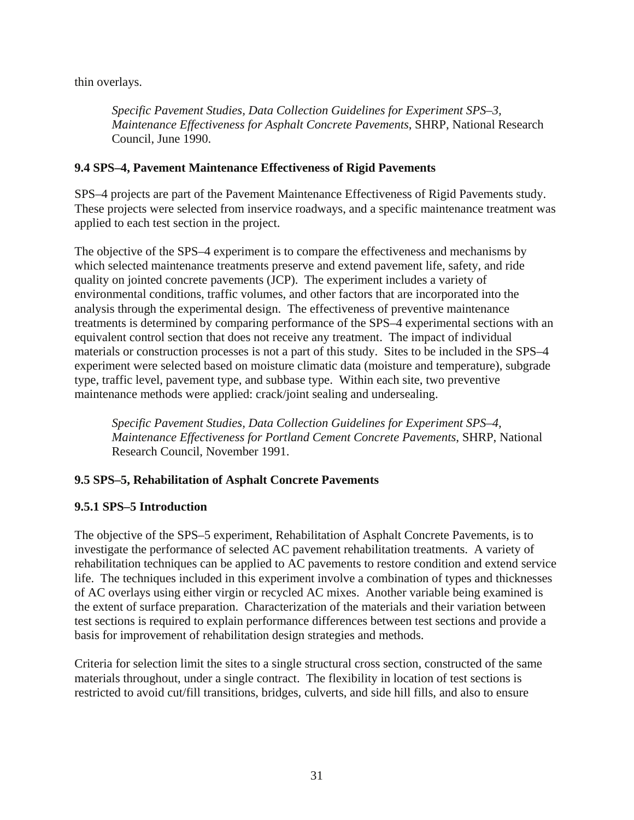<span id="page-40-0"></span>thin overlays.

*Specific Pavement Studies, Data Collection Guidelines for Experiment SPS–3, Maintenance Effectiveness for Asphalt Concrete Pavements*, SHRP, National Research Council, June 1990.

# **9.4 SPS–4, Pavement Maintenance Effectiveness of Rigid Pavements**

SPS–4 projects are part of the Pavement Maintenance Effectiveness of Rigid Pavements study. These projects were selected from inservice roadways, and a specific maintenance treatment was applied to each test section in the project.

The objective of the SPS–4 experiment is to compare the effectiveness and mechanisms by which selected maintenance treatments preserve and extend pavement life, safety, and ride quality on jointed concrete pavements (JCP). The experiment includes a variety of environmental conditions, traffic volumes, and other factors that are incorporated into the analysis through the experimental design. The effectiveness of preventive maintenance treatments is determined by comparing performance of the SPS–4 experimental sections with an equivalent control section that does not receive any treatment. The impact of individual materials or construction processes is not a part of this study. Sites to be included in the SPS–4 experiment were selected based on moisture climatic data (moisture and temperature), subgrade type, traffic level, pavement type, and subbase type. Within each site, two preventive maintenance methods were applied: crack/joint sealing and undersealing.

*Specific Pavement Studies, Data Collection Guidelines for Experiment SPS–4, Maintenance Effectiveness for Portland Cement Concrete Pavements*, SHRP, National Research Council, November 1991.

# **9.5 SPS–5, Rehabilitation of Asphalt Concrete Pavements**

# **9.5.1 SPS–5 Introduction**

The objective of the SPS–5 experiment, Rehabilitation of Asphalt Concrete Pavements, is to investigate the performance of selected AC pavement rehabilitation treatments. A variety of rehabilitation techniques can be applied to AC pavements to restore condition and extend service life. The techniques included in this experiment involve a combination of types and thicknesses of AC overlays using either virgin or recycled AC mixes. Another variable being examined is the extent of surface preparation. Characterization of the materials and their variation between test sections is required to explain performance differences between test sections and provide a basis for improvement of rehabilitation design strategies and methods.

Criteria for selection limit the sites to a single structural cross section, constructed of the same materials throughout, under a single contract. The flexibility in location of test sections is restricted to avoid cut/fill transitions, bridges, culverts, and side hill fills, and also to ensure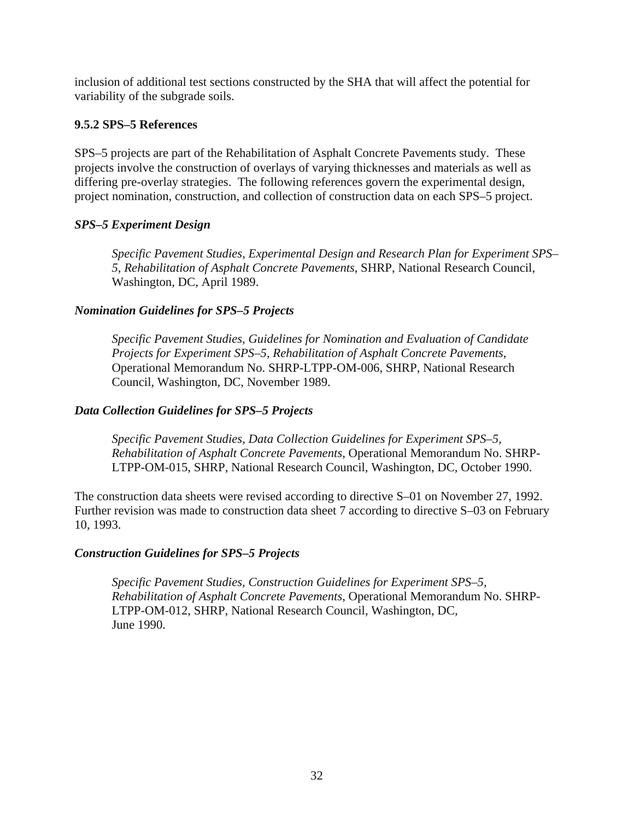<span id="page-41-0"></span>inclusion of additional test sections constructed by the SHA that will affect the potential for variability of the subgrade soils.

# **9.5.2 SPS–5 References**

SPS–5 projects are part of the Rehabilitation of Asphalt Concrete Pavements study. These projects involve the construction of overlays of varying thicknesses and materials as well as differing pre-overlay strategies. The following references govern the experimental design, project nomination, construction, and collection of construction data on each SPS–5 project.

## *SPS–5 Experiment Design*

*Specific Pavement Studies, Experimental Design and Research Plan for Experiment SPS– 5, Rehabilitation of Asphalt Concrete Pavements*, SHRP, National Research Council, Washington, DC, April 1989.

## *Nomination Guidelines for SPS–5 Projects*

*Specific Pavement Studies, Guidelines for Nomination and Evaluation of Candidate Projects for Experiment SPS–5, Rehabilitation of Asphalt Concrete Pavements*, Operational Memorandum No. SHRP-LTPP-OM-006, SHRP, National Research Council, Washington, DC, November 1989.

#### *Data Collection Guidelines for SPS–5 Projects*

*Specific Pavement Studies, Data Collection Guidelines for Experiment SPS–5, Rehabilitation of Asphalt Concrete Pavements*, Operational Memorandum No. SHRP-LTPP-OM-015, SHRP, National Research Council, Washington, DC, October 1990.

The construction data sheets were revised according to directive S–01 on November 27, 1992. Further revision was made to construction data sheet 7 according to directive S–03 on February 10, 1993.

#### *Construction Guidelines for SPS–5 Projects*

*Specific Pavement Studies, Construction Guidelines for Experiment SPS–5, Rehabilitation of Asphalt Concrete Pavements*, Operational Memorandum No. SHRP-LTPP-OM-012, SHRP, National Research Council, Washington, DC, June 1990.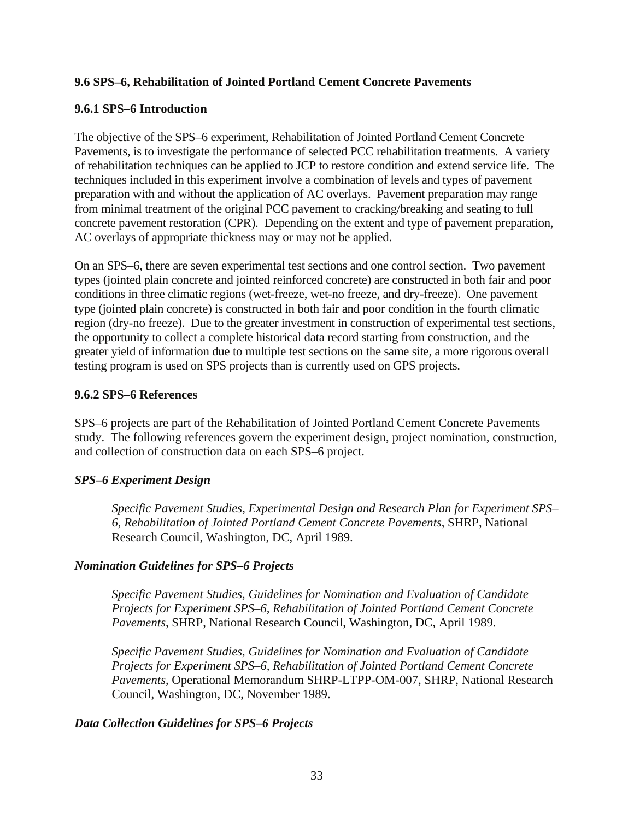# <span id="page-42-0"></span>**9.6 SPS–6, Rehabilitation of Jointed Portland Cement Concrete Pavements**

# **9.6.1 SPS–6 Introduction**

The objective of the SPS–6 experiment, Rehabilitation of Jointed Portland Cement Concrete Pavements, is to investigate the performance of selected PCC rehabilitation treatments. A variety of rehabilitation techniques can be applied to JCP to restore condition and extend service life. The techniques included in this experiment involve a combination of levels and types of pavement preparation with and without the application of AC overlays. Pavement preparation may range from minimal treatment of the original PCC pavement to cracking/breaking and seating to full concrete pavement restoration (CPR). Depending on the extent and type of pavement preparation, AC overlays of appropriate thickness may or may not be applied.

On an SPS–6, there are seven experimental test sections and one control section. Two pavement types (jointed plain concrete and jointed reinforced concrete) are constructed in both fair and poor conditions in three climatic regions (wet-freeze, wet-no freeze, and dry-freeze). One pavement type (jointed plain concrete) is constructed in both fair and poor condition in the fourth climatic region (dry-no freeze). Due to the greater investment in construction of experimental test sections, the opportunity to collect a complete historical data record starting from construction, and the greater yield of information due to multiple test sections on the same site, a more rigorous overall testing program is used on SPS projects than is currently used on GPS projects.

# **9.6.2 SPS–6 References**

SPS–6 projects are part of the Rehabilitation of Jointed Portland Cement Concrete Pavements study. The following references govern the experiment design, project nomination, construction, and collection of construction data on each SPS–6 project.

# *SPS–6 Experiment Design*

*Specific Pavement Studies, Experimental Design and Research Plan for Experiment SPS– 6, Rehabilitation of Jointed Portland Cement Concrete Pavements*, SHRP, National Research Council, Washington, DC, April 1989.

# *Nomination Guidelines for SPS–6 Projects*

*Specific Pavement Studies, Guidelines for Nomination and Evaluation of Candidate Projects for Experiment SPS–6, Rehabilitation of Jointed Portland Cement Concrete Pavements*, SHRP, National Research Council, Washington, DC, April 1989.

*Specific Pavement Studies, Guidelines for Nomination and Evaluation of Candidate Projects for Experiment SPS–6, Rehabilitation of Jointed Portland Cement Concrete Pavements*, Operational Memorandum SHRP-LTPP-OM-007, SHRP, National Research Council, Washington, DC, November 1989.

# *Data Collection Guidelines for SPS–6 Projects*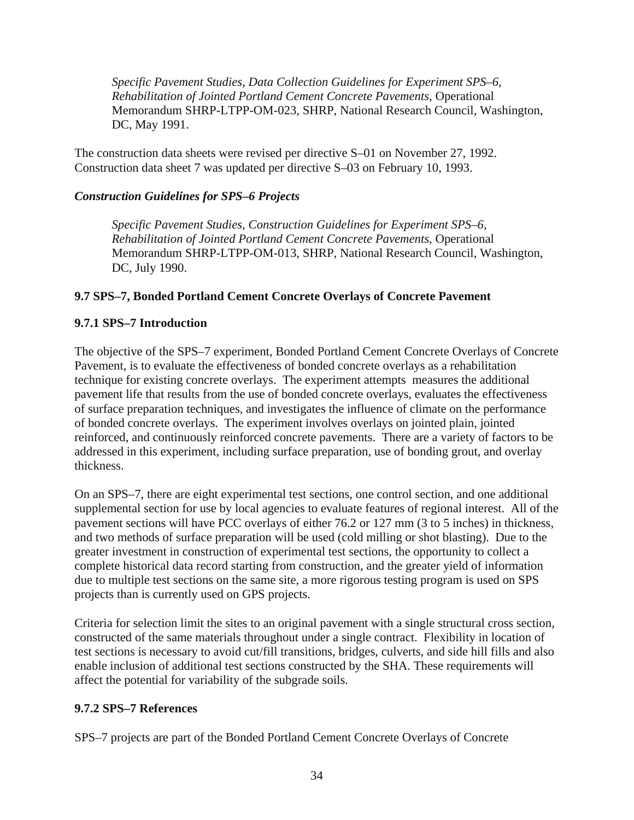<span id="page-43-0"></span>*Specific Pavement Studies, Data Collection Guidelines for Experiment SPS–6, Rehabilitation of Jointed Portland Cement Concrete Pavements*, Operational Memorandum SHRP-LTPP-OM-023, SHRP, National Research Council, Washington, DC, May 1991.

The construction data sheets were revised per directive S–01 on November 27, 1992. Construction data sheet 7 was updated per directive S–03 on February 10, 1993.

# *Construction Guidelines for SPS–6 Projects*

*Specific Pavement Studies, Construction Guidelines for Experiment SPS–6, Rehabilitation of Jointed Portland Cement Concrete Pavements*, Operational Memorandum SHRP-LTPP-OM-013, SHRP, National Research Council, Washington, DC, July 1990.

# **9.7 SPS–7, Bonded Portland Cement Concrete Overlays of Concrete Pavement**

# **9.7.1 SPS–7 Introduction**

The objective of the SPS–7 experiment, Bonded Portland Cement Concrete Overlays of Concrete Pavement, is to evaluate the effectiveness of bonded concrete overlays as a rehabilitation technique for existing concrete overlays. The experiment attempts measures the additional pavement life that results from the use of bonded concrete overlays, evaluates the effectiveness of surface preparation techniques, and investigates the influence of climate on the performance of bonded concrete overlays. The experiment involves overlays on jointed plain, jointed reinforced, and continuously reinforced concrete pavements. There are a variety of factors to be addressed in this experiment, including surface preparation, use of bonding grout, and overlay thickness.

On an SPS–7, there are eight experimental test sections, one control section, and one additional supplemental section for use by local agencies to evaluate features of regional interest. All of the pavement sections will have PCC overlays of either 76.2 or 127 mm (3 to 5 inches) in thickness, and two methods of surface preparation will be used (cold milling or shot blasting). Due to the greater investment in construction of experimental test sections, the opportunity to collect a complete historical data record starting from construction, and the greater yield of information due to multiple test sections on the same site, a more rigorous testing program is used on SPS projects than is currently used on GPS projects.

Criteria for selection limit the sites to an original pavement with a single structural cross section, constructed of the same materials throughout under a single contract. Flexibility in location of test sections is necessary to avoid cut/fill transitions, bridges, culverts, and side hill fills and also enable inclusion of additional test sections constructed by the SHA. These requirements will affect the potential for variability of the subgrade soils.

# **9.7.2 SPS–7 References**

SPS–7 projects are part of the Bonded Portland Cement Concrete Overlays of Concrete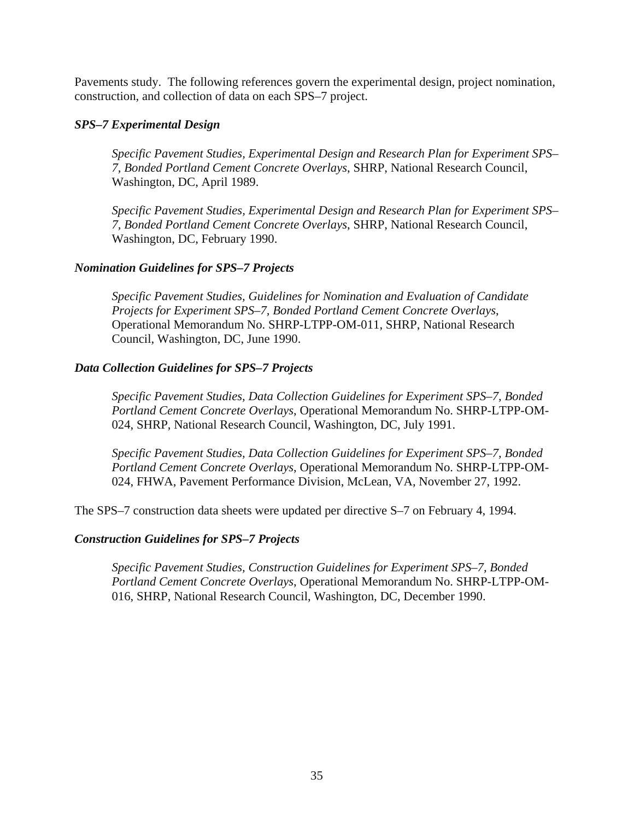Pavements study. The following references govern the experimental design, project nomination, construction, and collection of data on each SPS–7 project.

#### *SPS–7 Experimental Design*

*Specific Pavement Studies, Experimental Design and Research Plan for Experiment SPS– 7, Bonded Portland Cement Concrete Overlays*, SHRP, National Research Council, Washington, DC, April 1989.

*Specific Pavement Studies, Experimental Design and Research Plan for Experiment SPS– 7, Bonded Portland Cement Concrete Overlays*, SHRP, National Research Council, Washington, DC, February 1990.

## *Nomination Guidelines for SPS–7 Projects*

*Specific Pavement Studies, Guidelines for Nomination and Evaluation of Candidate Projects for Experiment SPS–7, Bonded Portland Cement Concrete Overlays*, Operational Memorandum No. SHRP-LTPP-OM-011, SHRP, National Research Council, Washington, DC, June 1990.

## *Data Collection Guidelines for SPS–7 Projects*

*Specific Pavement Studies, Data Collection Guidelines for Experiment SPS–7, Bonded Portland Cement Concrete Overlays*, Operational Memorandum No. SHRP-LTPP-OM-024, SHRP, National Research Council, Washington, DC, July 1991.

*Specific Pavement Studies, Data Collection Guidelines for Experiment SPS–7, Bonded Portland Cement Concrete Overlays*, Operational Memorandum No. SHRP-LTPP-OM-024, FHWA, Pavement Performance Division, McLean, VA, November 27, 1992.

The SPS–7 construction data sheets were updated per directive S–7 on February 4, 1994.

#### *Construction Guidelines for SPS–7 Projects*

*Specific Pavement Studies, Construction Guidelines for Experiment SPS–7, Bonded Portland Cement Concrete Overlays*, Operational Memorandum No. SHRP-LTPP-OM-016, SHRP, National Research Council, Washington, DC, December 1990.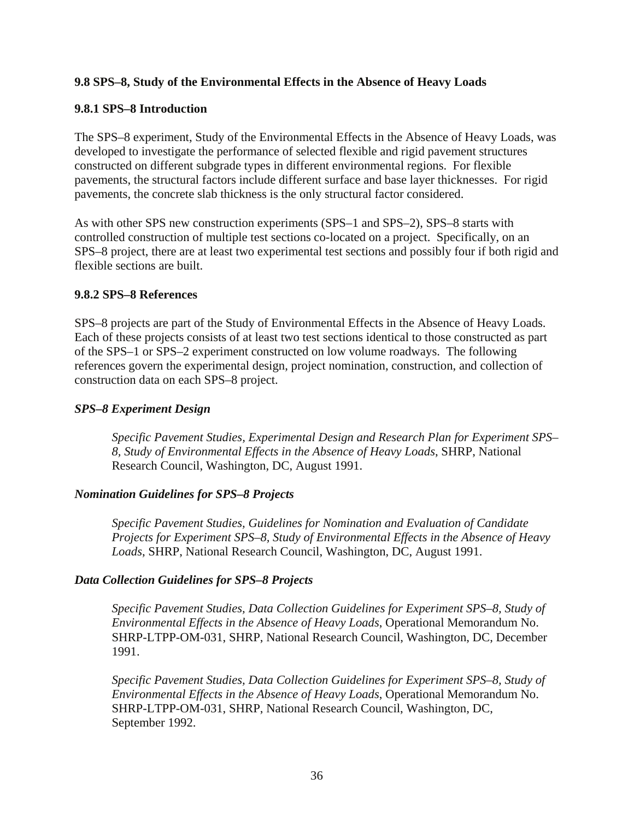# <span id="page-45-0"></span>**9.8 SPS–8, Study of the Environmental Effects in the Absence of Heavy Loads**

## **9.8.1 SPS–8 Introduction**

The SPS–8 experiment, Study of the Environmental Effects in the Absence of Heavy Loads, was developed to investigate the performance of selected flexible and rigid pavement structures constructed on different subgrade types in different environmental regions. For flexible pavements, the structural factors include different surface and base layer thicknesses. For rigid pavements, the concrete slab thickness is the only structural factor considered.

As with other SPS new construction experiments (SPS–1 and SPS–2), SPS–8 starts with controlled construction of multiple test sections co-located on a project. Specifically, on an SPS–8 project, there are at least two experimental test sections and possibly four if both rigid and flexible sections are built.

#### **9.8.2 SPS–8 References**

SPS–8 projects are part of the Study of Environmental Effects in the Absence of Heavy Loads. Each of these projects consists of at least two test sections identical to those constructed as part of the SPS–1 or SPS–2 experiment constructed on low volume roadways. The following references govern the experimental design, project nomination, construction, and collection of construction data on each SPS–8 project.

#### *SPS–8 Experiment Design*

*Specific Pavement Studies, Experimental Design and Research Plan for Experiment SPS– 8, Study of Environmental Effects in the Absence of Heavy Loads*, SHRP, National Research Council, Washington, DC, August 1991.

#### *Nomination Guidelines for SPS–8 Projects*

*Specific Pavement Studies, Guidelines for Nomination and Evaluation of Candidate Projects for Experiment SPS–8, Study of Environmental Effects in the Absence of Heavy Loads*, SHRP, National Research Council, Washington, DC, August 1991.

#### *Data Collection Guidelines for SPS–8 Projects*

*Specific Pavement Studies, Data Collection Guidelines for Experiment SPS–8, Study of Environmental Effects in the Absence of Heavy Loads*, Operational Memorandum No. SHRP-LTPP-OM-031, SHRP, National Research Council, Washington, DC, December 1991.

*Specific Pavement Studies, Data Collection Guidelines for Experiment SPS–8, Study of Environmental Effects in the Absence of Heavy Loads*, Operational Memorandum No. SHRP-LTPP-OM-031, SHRP, National Research Council, Washington, DC, September 1992.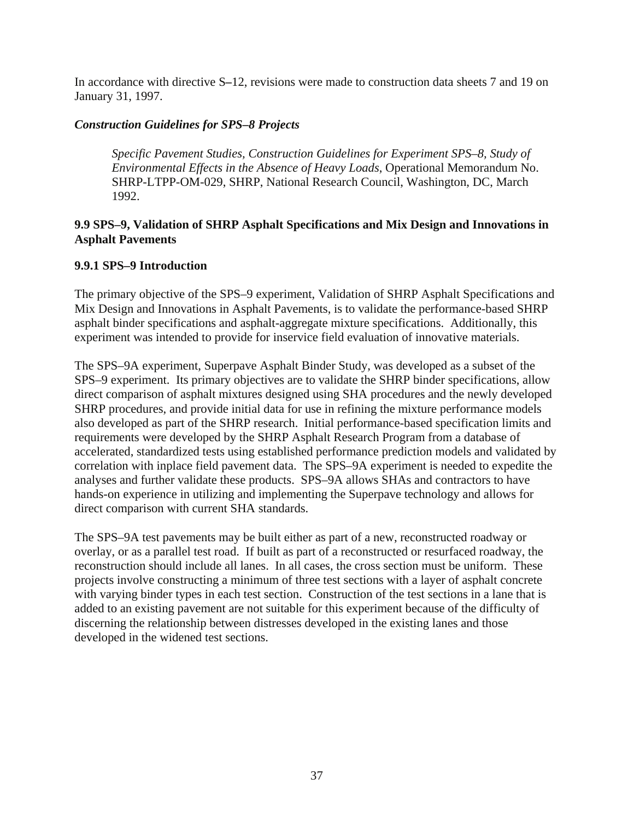<span id="page-46-0"></span>In accordance with directive S*–*12, revisions were made to construction data sheets 7 and 19 on January 31, 1997.

# *Construction Guidelines for SPS–8 Projects*

*Specific Pavement Studies, Construction Guidelines for Experiment SPS–8, Study of Environmental Effects in the Absence of Heavy Loads*, Operational Memorandum No. SHRP-LTPP-OM-029, SHRP, National Research Council, Washington, DC, March 1992.

# **9.9 SPS–9, Validation of SHRP Asphalt Specifications and Mix Design and Innovations in Asphalt Pavements**

# **9.9.1 SPS–9 Introduction**

The primary objective of the SPS–9 experiment, Validation of SHRP Asphalt Specifications and Mix Design and Innovations in Asphalt Pavements, is to validate the performance-based SHRP asphalt binder specifications and asphalt-aggregate mixture specifications. Additionally, this experiment was intended to provide for inservice field evaluation of innovative materials.

The SPS–9A experiment, Superpave Asphalt Binder Study, was developed as a subset of the SPS–9 experiment. Its primary objectives are to validate the SHRP binder specifications, allow direct comparison of asphalt mixtures designed using SHA procedures and the newly developed SHRP procedures, and provide initial data for use in refining the mixture performance models also developed as part of the SHRP research. Initial performance-based specification limits and requirements were developed by the SHRP Asphalt Research Program from a database of accelerated, standardized tests using established performance prediction models and validated by correlation with inplace field pavement data. The SPS–9A experiment is needed to expedite the analyses and further validate these products. SPS–9A allows SHAs and contractors to have hands-on experience in utilizing and implementing the Superpave technology and allows for direct comparison with current SHA standards.

The SPS–9A test pavements may be built either as part of a new, reconstructed roadway or overlay, or as a parallel test road. If built as part of a reconstructed or resurfaced roadway, the reconstruction should include all lanes. In all cases, the cross section must be uniform. These projects involve constructing a minimum of three test sections with a layer of asphalt concrete with varying binder types in each test section. Construction of the test sections in a lane that is added to an existing pavement are not suitable for this experiment because of the difficulty of discerning the relationship between distresses developed in the existing lanes and those developed in the widened test sections.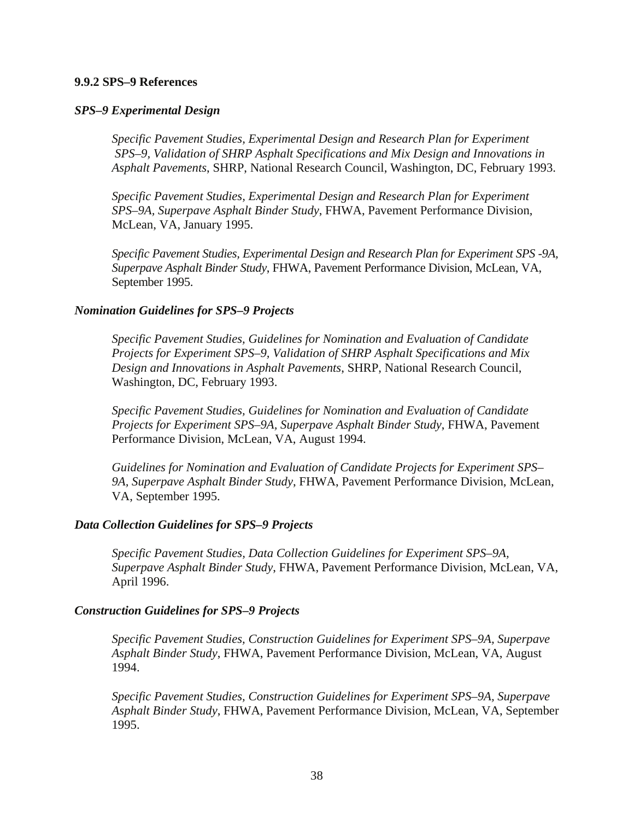#### <span id="page-47-0"></span>**9.9.2 SPS–9 References**

#### *SPS–9 Experimental Design*

*Specific Pavement Studies, Experimental Design and Research Plan for Experiment SPS–9, Validation of SHRP Asphalt Specifications and Mix Design and Innovations in Asphalt Pavements*, SHRP, National Research Council, Washington, DC, February 1993.

*Specific Pavement Studies, Experimental Design and Research Plan for Experiment SPS–9A, Superpave Asphalt Binder Study*, FHWA, Pavement Performance Division, McLean, VA, January 1995.

*Specific Pavement Studies, Experimental Design and Research Plan for Experiment SPS -9A, Superpave Asphalt Binder Study*, FHWA, Pavement Performance Division, McLean, VA, September 1995.

#### *Nomination Guidelines for SPS–9 Projects*

*Specific Pavement Studies, Guidelines for Nomination and Evaluation of Candidate Projects for Experiment SPS–9, Validation of SHRP Asphalt Specifications and Mix Design and Innovations in Asphalt Pavements*, SHRP, National Research Council, Washington, DC, February 1993.

*Specific Pavement Studies, Guidelines for Nomination and Evaluation of Candidate Projects for Experiment SPS–9A, Superpave Asphalt Binder Study*, FHWA, Pavement Performance Division, McLean, VA, August 1994.

*Guidelines for Nomination and Evaluation of Candidate Projects for Experiment SPS– 9A, Superpave Asphalt Binder Study*, FHWA, Pavement Performance Division, McLean, VA, September 1995.

#### *Data Collection Guidelines for SPS–9 Projects*

*Specific Pavement Studies, Data Collection Guidelines for Experiment SPS–9A, Superpave Asphalt Binder Study*, FHWA, Pavement Performance Division, McLean, VA, April 1996.

#### *Construction Guidelines for SPS–9 Projects*

*Specific Pavement Studies, Construction Guidelines for Experiment SPS–9A, Superpave Asphalt Binder Study*, FHWA, Pavement Performance Division, McLean, VA, August 1994.

*Specific Pavement Studies, Construction Guidelines for Experiment SPS–9A, Superpave Asphalt Binder Study*, FHWA, Pavement Performance Division, McLean, VA, September 1995.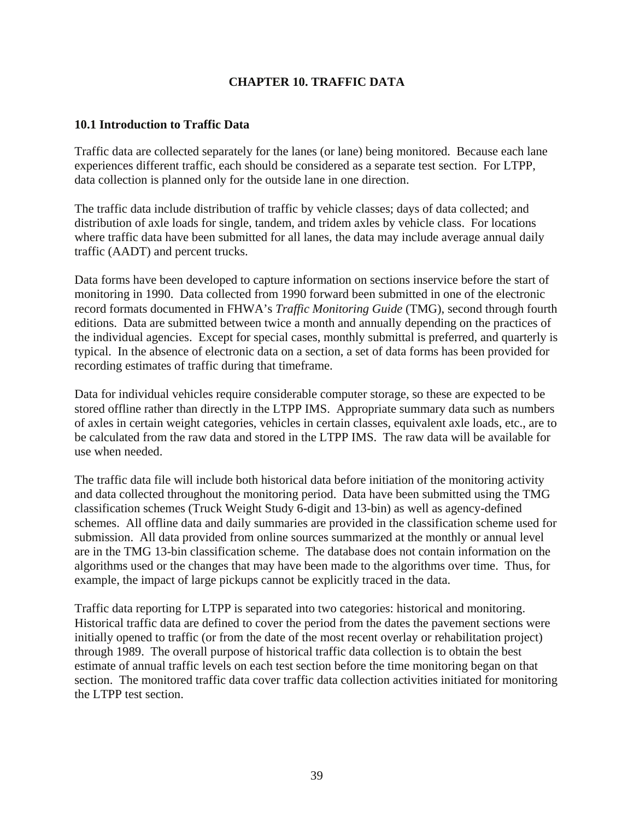# **CHAPTER 10. TRAFFIC DATA**

# <span id="page-48-0"></span>**10.1 Introduction to Traffic Data**

Traffic data are collected separately for the lanes (or lane) being monitored. Because each lane experiences different traffic, each should be considered as a separate test section. For LTPP, data collection is planned only for the outside lane in one direction.

The traffic data include distribution of traffic by vehicle classes; days of data collected; and distribution of axle loads for single, tandem, and tridem axles by vehicle class. For locations where traffic data have been submitted for all lanes, the data may include average annual daily traffic (AADT) and percent trucks.

Data forms have been developed to capture information on sections inservice before the start of monitoring in 1990. Data collected from 1990 forward been submitted in one of the electronic record formats documented in FHWA's *Traffic Monitoring Guide* (TMG), second through fourth editions. Data are submitted between twice a month and annually depending on the practices of the individual agencies. Except for special cases, monthly submittal is preferred, and quarterly is typical. In the absence of electronic data on a section, a set of data forms has been provided for recording estimates of traffic during that timeframe.

Data for individual vehicles require considerable computer storage, so these are expected to be stored offline rather than directly in the LTPP IMS. Appropriate summary data such as numbers of axles in certain weight categories, vehicles in certain classes, equivalent axle loads, etc., are to be calculated from the raw data and stored in the LTPP IMS. The raw data will be available for use when needed.

The traffic data file will include both historical data before initiation of the monitoring activity and data collected throughout the monitoring period. Data have been submitted using the TMG classification schemes (Truck Weight Study 6-digit and 13-bin) as well as agency-defined schemes. All offline data and daily summaries are provided in the classification scheme used for submission. All data provided from online sources summarized at the monthly or annual level are in the TMG 13-bin classification scheme. The database does not contain information on the algorithms used or the changes that may have been made to the algorithms over time. Thus, for example, the impact of large pickups cannot be explicitly traced in the data.

Traffic data reporting for LTPP is separated into two categories: historical and monitoring. Historical traffic data are defined to cover the period from the dates the pavement sections were initially opened to traffic (or from the date of the most recent overlay or rehabilitation project) through 1989. The overall purpose of historical traffic data collection is to obtain the best estimate of annual traffic levels on each test section before the time monitoring began on that section. The monitored traffic data cover traffic data collection activities initiated for monitoring the LTPP test section.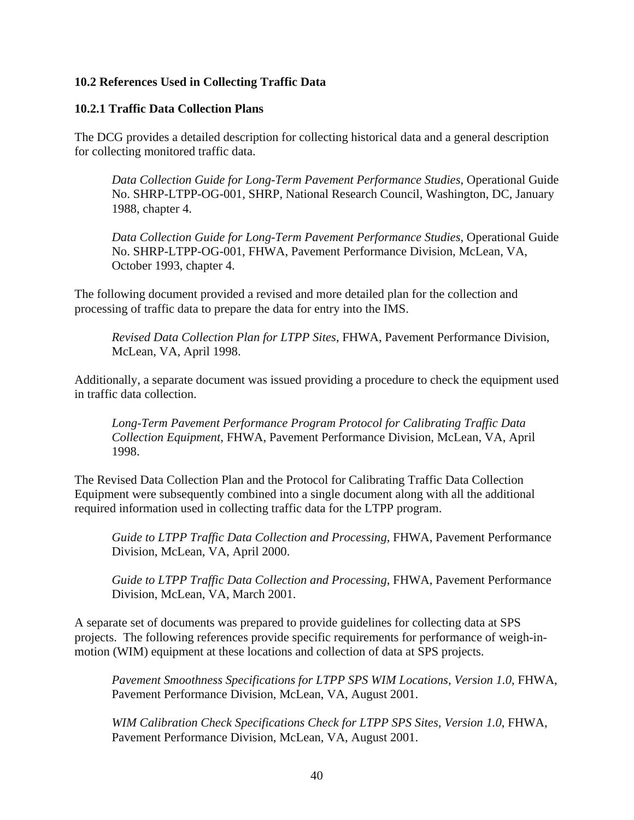# <span id="page-49-0"></span>**10.2 References Used in Collecting Traffic Data**

#### **10.2.1 Traffic Data Collection Plans**

The DCG provides a detailed description for collecting historical data and a general description for collecting monitored traffic data.

*Data Collection Guide for Long-Term Pavement Performance Studies*, Operational Guide No. SHRP-LTPP-OG-001, SHRP, National Research Council, Washington, DC, January 1988, chapter 4.

*Data Collection Guide for Long-Term Pavement Performance Studies*, Operational Guide No. SHRP-LTPP-OG-001, FHWA, Pavement Performance Division, McLean, VA, October 1993, chapter 4.

The following document provided a revised and more detailed plan for the collection and processing of traffic data to prepare the data for entry into the IMS.

*Revised Data Collection Plan for LTPP Sites*, FHWA, Pavement Performance Division, McLean, VA, April 1998.

Additionally, a separate document was issued providing a procedure to check the equipment used in traffic data collection.

*Long-Term Pavement Performance Program Protocol for Calibrating Traffic Data Collection Equipment*, FHWA, Pavement Performance Division, McLean, VA, April 1998.

The Revised Data Collection Plan and the Protocol for Calibrating Traffic Data Collection Equipment were subsequently combined into a single document along with all the additional required information used in collecting traffic data for the LTPP program.

*Guide to LTPP Traffic Data Collection and Processing*, FHWA, Pavement Performance Division, McLean, VA, April 2000.

*Guide to LTPP Traffic Data Collection and Processing*, FHWA, Pavement Performance Division, McLean, VA, March 2001.

A separate set of documents was prepared to provide guidelines for collecting data at SPS projects. The following references provide specific requirements for performance of weigh-inmotion (WIM) equipment at these locations and collection of data at SPS projects.

*Pavement Smoothness Specifications for LTPP SPS WIM Locations, Version 1.0*, FHWA, Pavement Performance Division, McLean, VA, August 2001.

*WIM Calibration Check Specifications Check for LTPP SPS Sites, Version 1.0*, FHWA, Pavement Performance Division, McLean, VA, August 2001.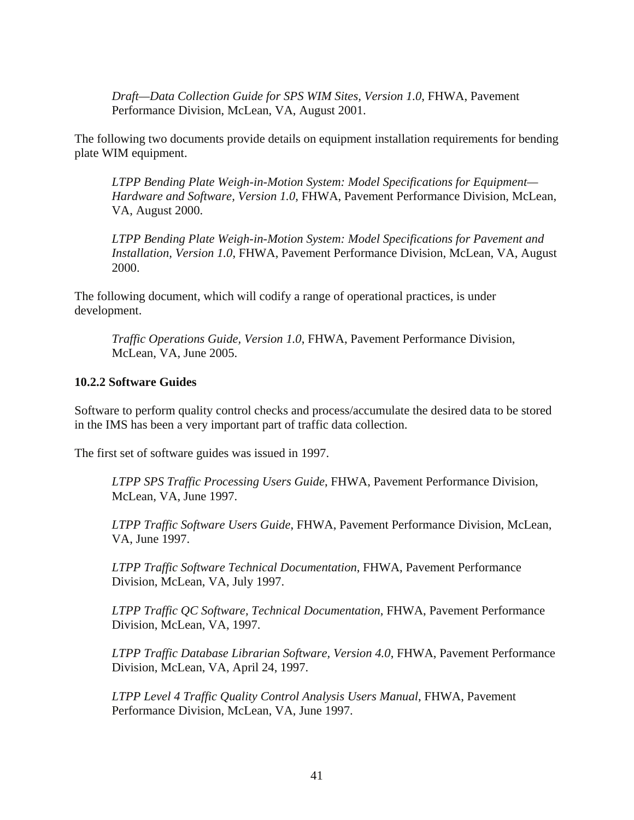<span id="page-50-0"></span>*Draft—Data Collection Guide for SPS WIM Sites, Version 1.0*, FHWA, Pavement Performance Division, McLean, VA, August 2001.

The following two documents provide details on equipment installation requirements for bending plate WIM equipment.

*LTPP Bending Plate Weigh-in-Motion System: Model Specifications for Equipment— Hardware and Software, Version 1.0*, FHWA, Pavement Performance Division, McLean, VA, August 2000.

*LTPP Bending Plate Weigh-in-Motion System: Model Specifications for Pavement and Installation, Version 1.0*, FHWA, Pavement Performance Division, McLean, VA, August 2000.

The following document, which will codify a range of operational practices, is under development.

*Traffic Operations Guide, Version 1.0*, FHWA, Pavement Performance Division, McLean, VA, June 2005.

#### **10.2.2 Software Guides**

Software to perform quality control checks and process/accumulate the desired data to be stored in the IMS has been a very important part of traffic data collection.

The first set of software guides was issued in 1997.

*LTPP SPS Traffic Processing Users Guide*, FHWA, Pavement Performance Division, McLean, VA, June 1997.

*LTPP Traffic Software Users Guide*, FHWA, Pavement Performance Division, McLean, VA, June 1997.

*LTPP Traffic Software Technical Documentation*, FHWA, Pavement Performance Division, McLean, VA, July 1997.

*LTPP Traffic QC Software, Technical Documentation*, FHWA, Pavement Performance Division, McLean, VA, 1997.

*LTPP Traffic Database Librarian Software, Version 4.0*, FHWA, Pavement Performance Division, McLean, VA, April 24, 1997.

*LTPP Level 4 Traffic Quality Control Analysis Users Manual*, FHWA, Pavement Performance Division, McLean, VA, June 1997.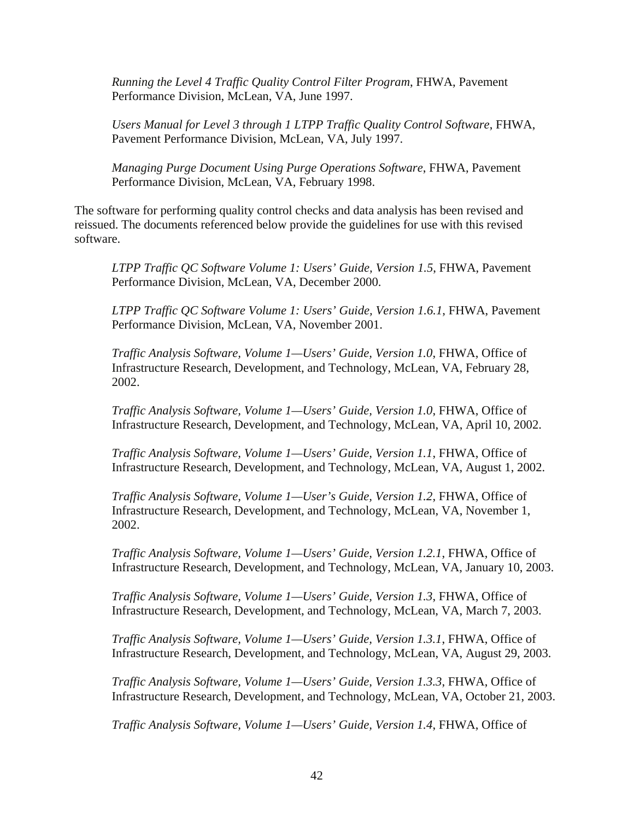*Running the Level 4 Traffic Quality Control Filter Program*, FHWA, Pavement Performance Division, McLean, VA, June 1997.

*Users Manual for Level 3 through 1 LTPP Traffic Quality Control Software*, FHWA, Pavement Performance Division, McLean, VA, July 1997.

*Managing Purge Document Using Purge Operations Software*, FHWA, Pavement Performance Division, McLean, VA, February 1998.

The software for performing quality control checks and data analysis has been revised and reissued. The documents referenced below provide the guidelines for use with this revised software.

*LTPP Traffic QC Software Volume 1: Users' Guide, Version 1.5*, FHWA, Pavement Performance Division, McLean, VA, December 2000.

*LTPP Traffic QC Software Volume 1: Users' Guide, Version 1.6.1*, FHWA, Pavement Performance Division, McLean, VA, November 2001.

*Traffic Analysis Software, Volume 1—Users' Guide, Version 1.0*, FHWA, Office of Infrastructure Research, Development, and Technology, McLean, VA, February 28, 2002.

*Traffic Analysis Software, Volume 1—Users' Guide, Version 1.0*, FHWA, Office of Infrastructure Research, Development, and Technology, McLean, VA, April 10, 2002.

*Traffic Analysis Software, Volume 1—Users' Guide, Version 1.1*, FHWA, Office of Infrastructure Research, Development, and Technology, McLean, VA, August 1, 2002.

*Traffic Analysis Software, Volume 1—User's Guide, Version 1.2*, FHWA, Office of Infrastructure Research, Development, and Technology, McLean, VA, November 1, 2002.

*Traffic Analysis Software, Volume 1—Users' Guide, Version 1.2.1*, FHWA, Office of Infrastructure Research, Development, and Technology, McLean, VA, January 10, 2003.

*Traffic Analysis Software, Volume 1—Users' Guide, Version 1.3*, FHWA, Office of Infrastructure Research, Development, and Technology, McLean, VA, March 7, 2003.

*Traffic Analysis Software, Volume 1—Users' Guide, Version 1.3.1*, FHWA, Office of Infrastructure Research, Development, and Technology, McLean, VA, August 29, 2003.

*Traffic Analysis Software, Volume 1—Users' Guide, Version 1.3.3*, FHWA, Office of Infrastructure Research, Development, and Technology, McLean, VA, October 21, 2003.

*Traffic Analysis Software, Volume 1—Users' Guide, Version 1.4*, FHWA, Office of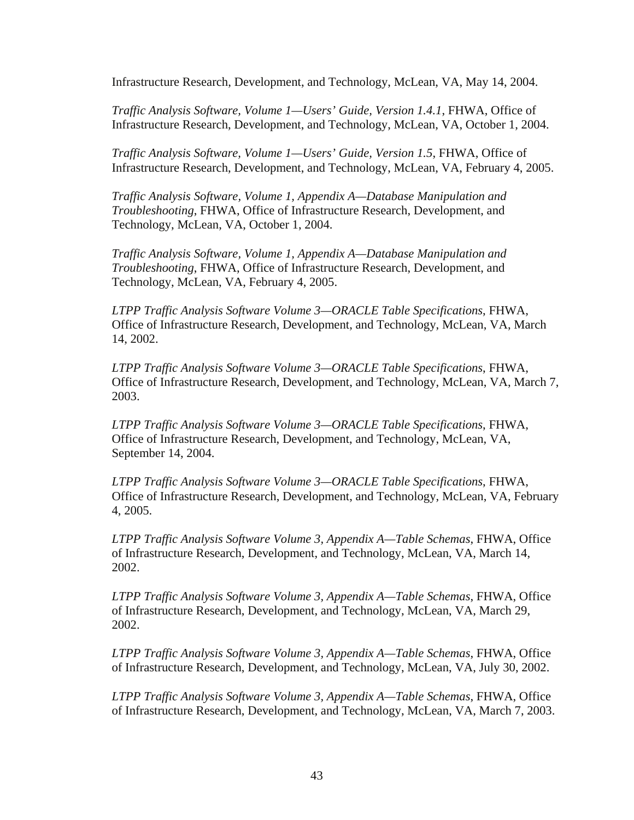Infrastructure Research, Development, and Technology, McLean, VA, May 14, 2004.

*Traffic Analysis Software, Volume 1—Users' Guide, Version 1.4.1*, FHWA, Office of Infrastructure Research, Development, and Technology, McLean, VA, October 1, 2004.

*Traffic Analysis Software, Volume 1—Users' Guide, Version 1.5*, FHWA, Office of Infrastructure Research, Development, and Technology, McLean, VA, February 4, 2005.

*Traffic Analysis Software, Volume 1, Appendix A—Database Manipulation and Troubleshooting*, FHWA, Office of Infrastructure Research, Development, and Technology, McLean, VA, October 1, 2004.

*Traffic Analysis Software, Volume 1, Appendix A—Database Manipulation and Troubleshooting*, FHWA, Office of Infrastructure Research, Development, and Technology, McLean, VA, February 4, 2005.

*LTPP Traffic Analysis Software Volume 3—ORACLE Table Specifications*, FHWA, Office of Infrastructure Research, Development, and Technology, McLean, VA, March 14, 2002.

*LTPP Traffic Analysis Software Volume 3—ORACLE Table Specifications*, FHWA, Office of Infrastructure Research, Development, and Technology, McLean, VA, March 7, 2003.

*LTPP Traffic Analysis Software Volume 3—ORACLE Table Specifications*, FHWA, Office of Infrastructure Research, Development, and Technology, McLean, VA, September 14, 2004.

*LTPP Traffic Analysis Software Volume 3—ORACLE Table Specifications*, FHWA, Office of Infrastructure Research, Development, and Technology, McLean, VA, February 4, 2005.

*LTPP Traffic Analysis Software Volume 3, Appendix A—Table Schemas*, FHWA, Office of Infrastructure Research, Development, and Technology, McLean, VA, March 14, 2002.

*LTPP Traffic Analysis Software Volume 3, Appendix A—Table Schemas*, FHWA, Office of Infrastructure Research, Development, and Technology, McLean, VA, March 29, 2002.

*LTPP Traffic Analysis Software Volume 3, Appendix A—Table Schemas*, FHWA, Office of Infrastructure Research, Development, and Technology, McLean, VA, July 30, 2002.

*LTPP Traffic Analysis Software Volume 3, Appendix A—Table Schemas*, FHWA, Office of Infrastructure Research, Development, and Technology, McLean, VA, March 7, 2003.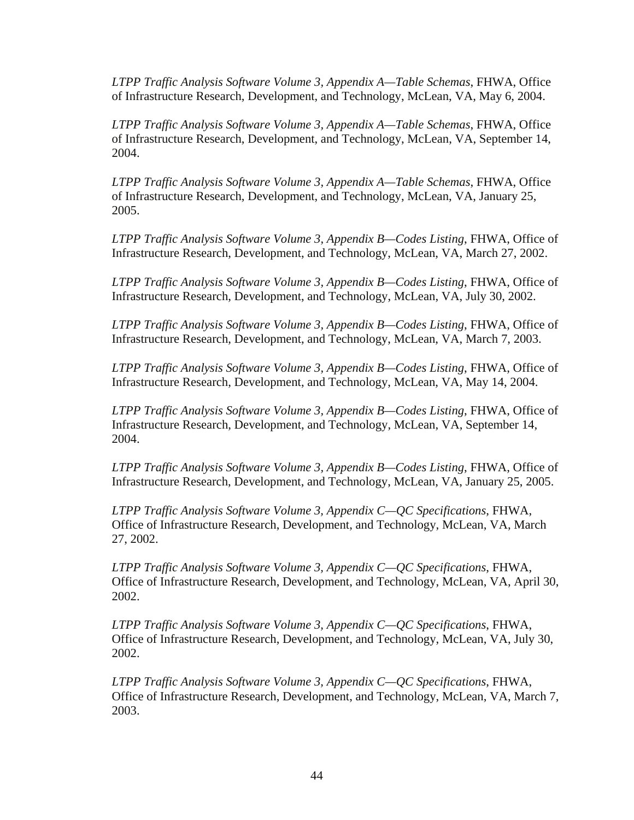*LTPP Traffic Analysis Software Volume 3, Appendix A—Table Schemas*, FHWA, Office of Infrastructure Research, Development, and Technology, McLean, VA, May 6, 2004.

*LTPP Traffic Analysis Software Volume 3, Appendix A—Table Schemas*, FHWA, Office of Infrastructure Research, Development, and Technology, McLean, VA, September 14, 2004.

*LTPP Traffic Analysis Software Volume 3, Appendix A—Table Schemas*, FHWA, Office of Infrastructure Research, Development, and Technology, McLean, VA, January 25, 2005.

*LTPP Traffic Analysis Software Volume 3, Appendix B—Codes Listing*, FHWA, Office of Infrastructure Research, Development, and Technology, McLean, VA, March 27, 2002.

*LTPP Traffic Analysis Software Volume 3, Appendix B—Codes Listing*, FHWA, Office of Infrastructure Research, Development, and Technology, McLean, VA, July 30, 2002.

*LTPP Traffic Analysis Software Volume 3, Appendix B—Codes Listing*, FHWA, Office of Infrastructure Research, Development, and Technology, McLean, VA, March 7, 2003.

*LTPP Traffic Analysis Software Volume 3, Appendix B—Codes Listing*, FHWA, Office of Infrastructure Research, Development, and Technology, McLean, VA, May 14, 2004.

*LTPP Traffic Analysis Software Volume 3, Appendix B—Codes Listing*, FHWA, Office of Infrastructure Research, Development, and Technology, McLean, VA, September 14, 2004.

*LTPP Traffic Analysis Software Volume 3, Appendix B—Codes Listing*, FHWA, Office of Infrastructure Research, Development, and Technology, McLean, VA, January 25, 2005.

*LTPP Traffic Analysis Software Volume 3, Appendix C—QC Specifications*, FHWA, Office of Infrastructure Research, Development, and Technology, McLean, VA, March 27, 2002.

*LTPP Traffic Analysis Software Volume 3, Appendix C—QC Specifications*, FHWA, Office of Infrastructure Research, Development, and Technology, McLean, VA, April 30, 2002.

*LTPP Traffic Analysis Software Volume 3, Appendix C—QC Specifications*, FHWA, Office of Infrastructure Research, Development, and Technology, McLean, VA, July 30, 2002.

*LTPP Traffic Analysis Software Volume 3, Appendix C—QC Specifications*, FHWA, Office of Infrastructure Research, Development, and Technology, McLean, VA, March 7, 2003.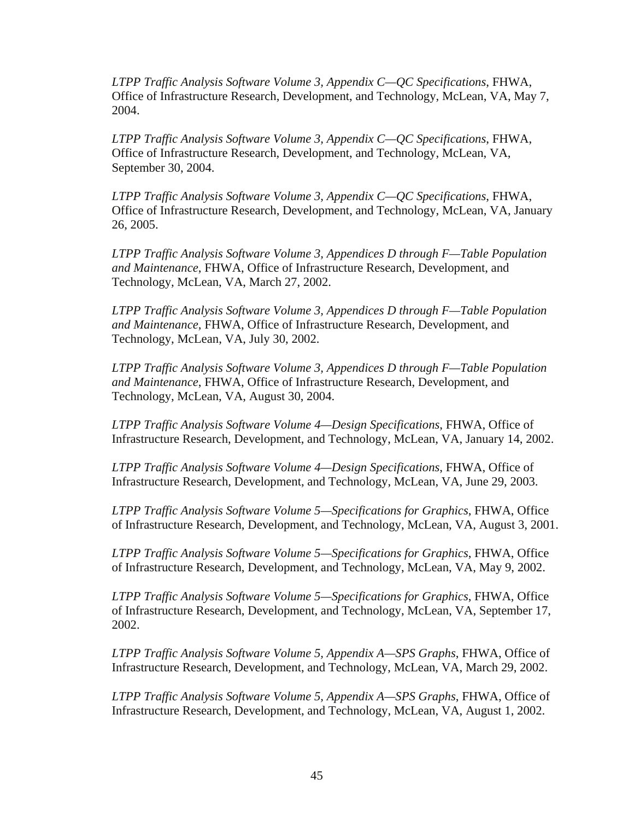*LTPP Traffic Analysis Software Volume 3, Appendix C—QC Specifications*, FHWA, Office of Infrastructure Research, Development, and Technology, McLean, VA, May 7, 2004.

*LTPP Traffic Analysis Software Volume 3, Appendix C—QC Specifications*, FHWA, Office of Infrastructure Research, Development, and Technology, McLean, VA, September 30, 2004.

*LTPP Traffic Analysis Software Volume 3, Appendix C—QC Specifications*, FHWA, Office of Infrastructure Research, Development, and Technology, McLean, VA, January 26, 2005.

*LTPP Traffic Analysis Software Volume 3, Appendices D through F—Table Population and Maintenance*, FHWA, Office of Infrastructure Research, Development, and Technology, McLean, VA, March 27, 2002.

*LTPP Traffic Analysis Software Volume 3, Appendices D through F—Table Population and Maintenance*, FHWA, Office of Infrastructure Research, Development, and Technology, McLean, VA, July 30, 2002.

*LTPP Traffic Analysis Software Volume 3, Appendices D through F—Table Population and Maintenance*, FHWA, Office of Infrastructure Research, Development, and Technology, McLean, VA, August 30, 2004.

*LTPP Traffic Analysis Software Volume 4—Design Specifications*, FHWA, Office of Infrastructure Research, Development, and Technology, McLean, VA, January 14, 2002.

*LTPP Traffic Analysis Software Volume 4—Design Specifications*, FHWA, Office of Infrastructure Research, Development, and Technology, McLean, VA, June 29, 2003.

*LTPP Traffic Analysis Software Volume 5—Specifications for Graphics*, FHWA, Office of Infrastructure Research, Development, and Technology, McLean, VA, August 3, 2001.

*LTPP Traffic Analysis Software Volume 5—Specifications for Graphics*, FHWA, Office of Infrastructure Research, Development, and Technology, McLean, VA, May 9, 2002.

*LTPP Traffic Analysis Software Volume 5—Specifications for Graphics*, FHWA, Office of Infrastructure Research, Development, and Technology, McLean, VA, September 17, 2002.

*LTPP Traffic Analysis Software Volume 5, Appendix A—SPS Graphs*, FHWA, Office of Infrastructure Research, Development, and Technology, McLean, VA, March 29, 2002.

*LTPP Traffic Analysis Software Volume 5, Appendix A—SPS Graphs*, FHWA, Office of Infrastructure Research, Development, and Technology, McLean, VA, August 1, 2002.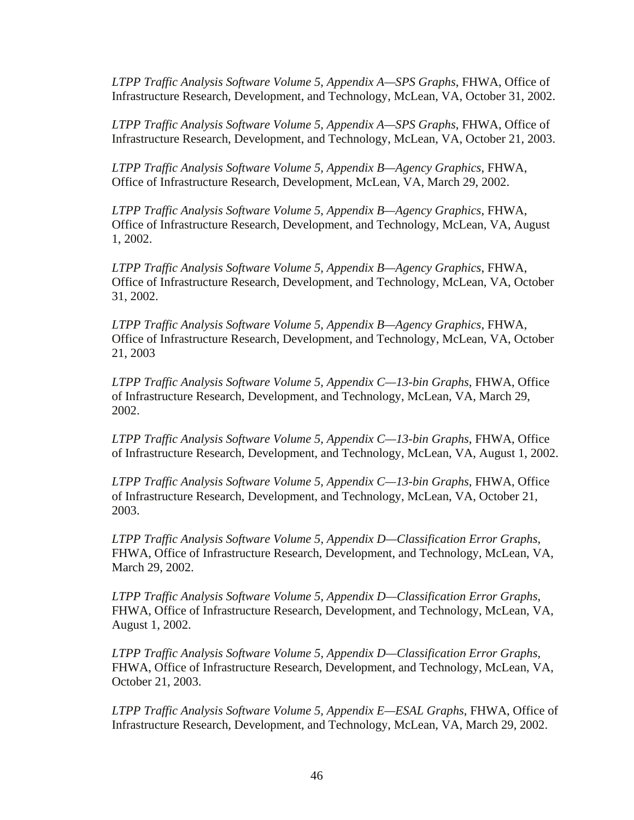*LTPP Traffic Analysis Software Volume 5, Appendix A—SPS Graphs*, FHWA, Office of Infrastructure Research, Development, and Technology, McLean, VA, October 31, 2002.

*LTPP Traffic Analysis Software Volume 5, Appendix A—SPS Graphs*, FHWA, Office of Infrastructure Research, Development, and Technology, McLean, VA, October 21, 2003.

*LTPP Traffic Analysis Software Volume 5, Appendix B—Agency Graphics*, FHWA, Office of Infrastructure Research, Development, McLean, VA, March 29, 2002.

*LTPP Traffic Analysis Software Volume 5, Appendix B—Agency Graphics*, FHWA, Office of Infrastructure Research, Development, and Technology, McLean, VA, August 1, 2002.

*LTPP Traffic Analysis Software Volume 5, Appendix B—Agency Graphics*, FHWA, Office of Infrastructure Research, Development, and Technology, McLean, VA, October 31, 2002.

*LTPP Traffic Analysis Software Volume 5, Appendix B—Agency Graphics*, FHWA, Office of Infrastructure Research, Development, and Technology, McLean, VA, October 21, 2003

*LTPP Traffic Analysis Software Volume 5, Appendix C—13-bin Graphs*, FHWA, Office of Infrastructure Research, Development, and Technology, McLean, VA, March 29, 2002.

*LTPP Traffic Analysis Software Volume 5, Appendix C—13-bin Graphs*, FHWA, Office of Infrastructure Research, Development, and Technology, McLean, VA, August 1, 2002.

*LTPP Traffic Analysis Software Volume 5, Appendix C—13-bin Graphs*, FHWA, Office of Infrastructure Research, Development, and Technology, McLean, VA, October 21, 2003.

*LTPP Traffic Analysis Software Volume 5, Appendix D—Classification Error Graphs*, FHWA, Office of Infrastructure Research, Development, and Technology, McLean, VA, March 29, 2002.

*LTPP Traffic Analysis Software Volume 5, Appendix D—Classification Error Graphs*, FHWA, Office of Infrastructure Research, Development, and Technology, McLean, VA, August 1, 2002.

*LTPP Traffic Analysis Software Volume 5, Appendix D—Classification Error Graphs*, FHWA, Office of Infrastructure Research, Development, and Technology, McLean, VA, October 21, 2003.

*LTPP Traffic Analysis Software Volume 5, Appendix E—ESAL Graphs*, FHWA, Office of Infrastructure Research, Development, and Technology, McLean, VA, March 29, 2002.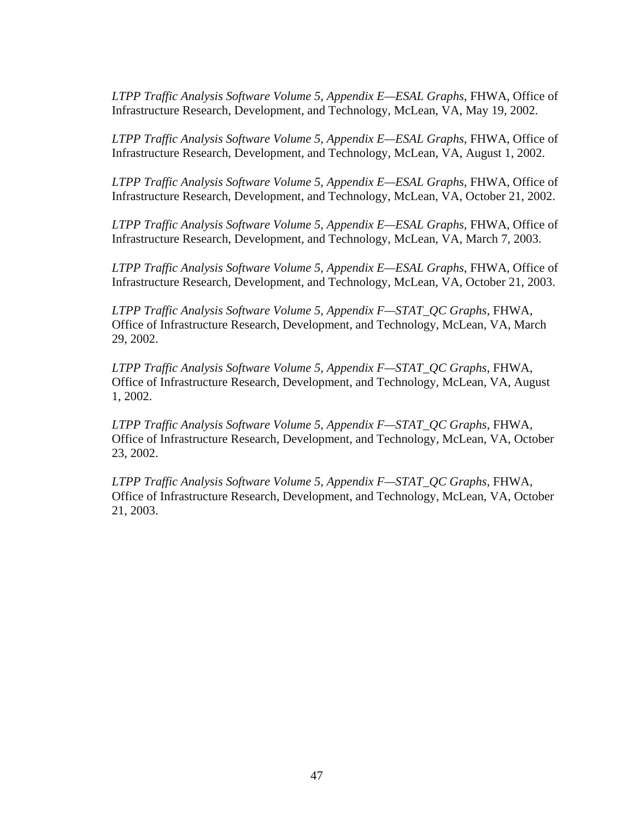*LTPP Traffic Analysis Software Volume 5, Appendix E—ESAL Graphs*, FHWA, Office of Infrastructure Research, Development, and Technology, McLean, VA, May 19, 2002.

*LTPP Traffic Analysis Software Volume 5, Appendix E—ESAL Graphs*, FHWA, Office of Infrastructure Research, Development, and Technology, McLean, VA, August 1, 2002.

*LTPP Traffic Analysis Software Volume 5, Appendix E—ESAL Graphs*, FHWA, Office of Infrastructure Research, Development, and Technology, McLean, VA, October 21, 2002.

*LTPP Traffic Analysis Software Volume 5, Appendix E—ESAL Graphs*, FHWA, Office of Infrastructure Research, Development, and Technology, McLean, VA, March 7, 2003.

*LTPP Traffic Analysis Software Volume 5, Appendix E—ESAL Graphs*, FHWA, Office of Infrastructure Research, Development, and Technology, McLean, VA, October 21, 2003.

*LTPP Traffic Analysis Software Volume 5, Appendix F—STAT\_QC Graphs*, FHWA, Office of Infrastructure Research, Development, and Technology, McLean, VA, March 29, 2002.

*LTPP Traffic Analysis Software Volume 5, Appendix F—STAT\_QC Graphs*, FHWA, Office of Infrastructure Research, Development, and Technology, McLean, VA, August 1, 2002.

*LTPP Traffic Analysis Software Volume 5, Appendix F—STAT\_QC Graphs*, FHWA, Office of Infrastructure Research, Development, and Technology, McLean, VA, October 23, 2002.

*LTPP Traffic Analysis Software Volume 5, Appendix F—STAT\_QC Graphs*, FHWA, Office of Infrastructure Research, Development, and Technology, McLean, VA, October 21, 2003.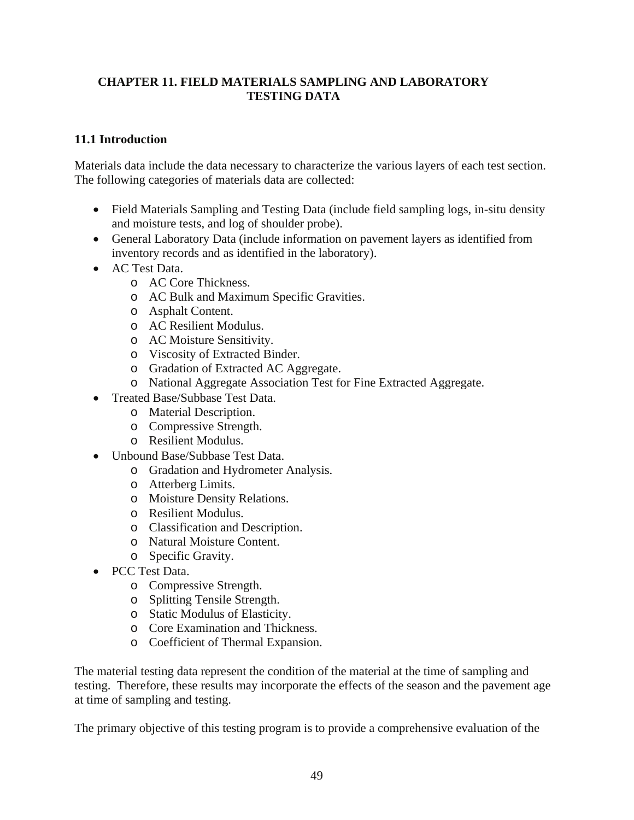# <span id="page-58-0"></span>**CHAPTER 11. FIELD MATERIALS SAMPLING AND LABORATORY TESTING DATA**

# **11.1 Introduction**

Materials data include the data necessary to characterize the various layers of each test section. The following categories of materials data are collected:

- Field Materials Sampling and Testing Data (include field sampling logs, in-situ density and moisture tests, and log of shoulder probe).
- General Laboratory Data (include information on pavement layers as identified from inventory records and as identified in the laboratory).
- AC Test Data.
	- o AC Core Thickness.
	- o AC Bulk and Maximum Specific Gravities.
	- o Asphalt Content.
	- o AC Resilient Modulus.
	- o AC Moisture Sensitivity.
	- o Viscosity of Extracted Binder.
	- o Gradation of Extracted AC Aggregate.
	- o National Aggregate Association Test for Fine Extracted Aggregate.
- Treated Base/Subbase Test Data.
	- o Material Description.
	- o Compressive Strength.
	- o Resilient Modulus.
- Unbound Base/Subbase Test Data.
	- o Gradation and Hydrometer Analysis.
	- o Atterberg Limits.
	- o Moisture Density Relations.
	- o Resilient Modulus.
	- o Classification and Description.
	- o Natural Moisture Content.
	- o Specific Gravity.
- PCC Test Data.
	- o Compressive Strength.
	- o Splitting Tensile Strength.
	- o Static Modulus of Elasticity.
	- o Core Examination and Thickness.
	- o Coefficient of Thermal Expansion.

The material testing data represent the condition of the material at the time of sampling and testing. Therefore, these results may incorporate the effects of the season and the pavement age at time of sampling and testing.

The primary objective of this testing program is to provide a comprehensive evaluation of the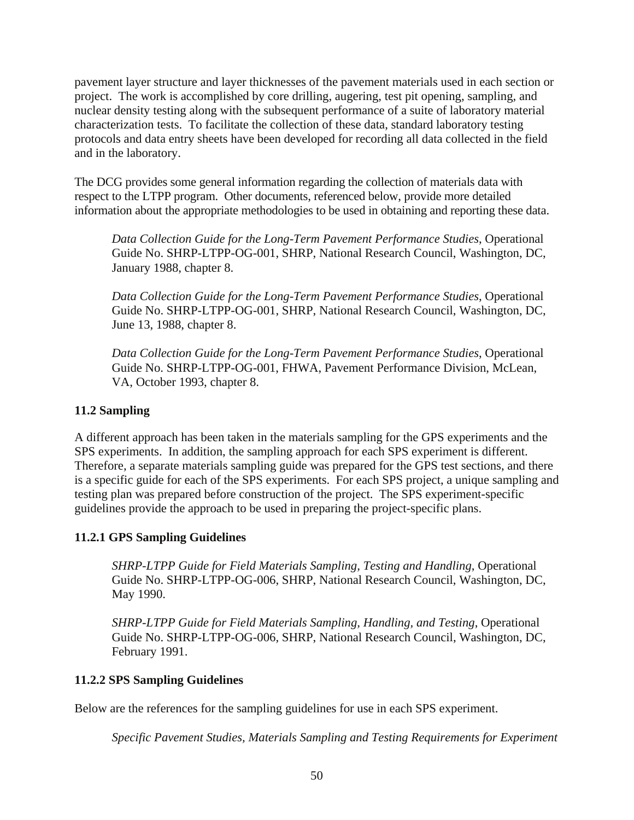<span id="page-59-0"></span>pavement layer structure and layer thicknesses of the pavement materials used in each section or project. The work is accomplished by core drilling, augering, test pit opening, sampling, and nuclear density testing along with the subsequent performance of a suite of laboratory material characterization tests. To facilitate the collection of these data, standard laboratory testing protocols and data entry sheets have been developed for recording all data collected in the field and in the laboratory.

The DCG provides some general information regarding the collection of materials data with respect to the LTPP program. Other documents, referenced below, provide more detailed information about the appropriate methodologies to be used in obtaining and reporting these data.

*Data Collection Guide for the Long-Term Pavement Performance Studies*, Operational Guide No. SHRP-LTPP-OG-001, SHRP, National Research Council, Washington, DC, January 1988, chapter 8.

*Data Collection Guide for the Long-Term Pavement Performance Studies*, Operational Guide No. SHRP-LTPP-OG-001, SHRP, National Research Council, Washington, DC, June 13, 1988, chapter 8.

*Data Collection Guide for the Long-Term Pavement Performance Studies*, Operational Guide No. SHRP-LTPP-OG-001, FHWA, Pavement Performance Division, McLean, VA, October 1993, chapter 8.

# **11.2 Sampling**

A different approach has been taken in the materials sampling for the GPS experiments and the SPS experiments. In addition, the sampling approach for each SPS experiment is different. Therefore, a separate materials sampling guide was prepared for the GPS test sections, and there is a specific guide for each of the SPS experiments. For each SPS project, a unique sampling and testing plan was prepared before construction of the project. The SPS experiment-specific guidelines provide the approach to be used in preparing the project-specific plans.

# **11.2.1 GPS Sampling Guidelines**

*SHRP-LTPP Guide for Field Materials Sampling, Testing and Handling*, Operational Guide No. SHRP-LTPP-OG-006, SHRP, National Research Council, Washington, DC, May 1990.

*SHRP-LTPP Guide for Field Materials Sampling, Handling, and Testing*, Operational Guide No. SHRP-LTPP-OG-006, SHRP, National Research Council, Washington, DC, February 1991.

# **11.2.2 SPS Sampling Guidelines**

Below are the references for the sampling guidelines for use in each SPS experiment.

*Specific Pavement Studies, Materials Sampling and Testing Requirements for Experiment*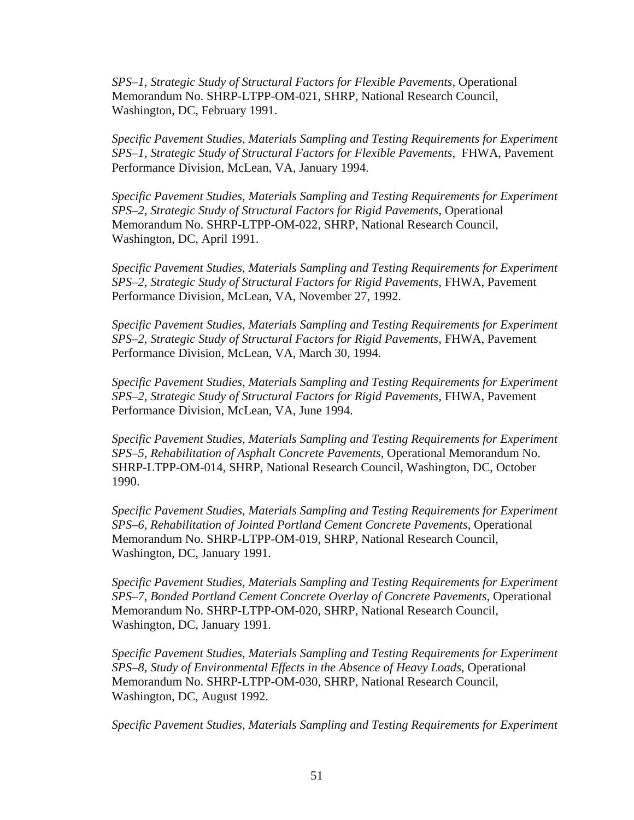*SPS–1, Strategic Study of Structural Factors for Flexible Pavements*, Operational Memorandum No. SHRP-LTPP-OM-021, SHRP, National Research Council, Washington, DC, February 1991.

*Specific Pavement Studies, Materials Sampling and Testing Requirements for Experiment SPS–1, Strategic Study of Structural Factors for Flexible Pavements*, FHWA, Pavement Performance Division, McLean, VA, January 1994.

*Specific Pavement Studies, Materials Sampling and Testing Requirements for Experiment SPS–2, Strategic Study of Structural Factors for Rigid Pavements*, Operational Memorandum No. SHRP-LTPP-OM-022, SHRP, National Research Council, Washington, DC, April 1991.

*Specific Pavement Studies, Materials Sampling and Testing Requirements for Experiment SPS–2, Strategic Study of Structural Factors for Rigid Pavements*, FHWA, Pavement Performance Division, McLean, VA, November 27, 1992.

*Specific Pavement Studies, Materials Sampling and Testing Requirements for Experiment SPS–2, Strategic Study of Structural Factors for Rigid Pavements*, FHWA, Pavement Performance Division, McLean, VA, March 30, 1994.

*Specific Pavement Studies, Materials Sampling and Testing Requirements for Experiment SPS–2, Strategic Study of Structural Factors for Rigid Pavements*, FHWA, Pavement Performance Division, McLean, VA, June 1994.

*Specific Pavement Studies, Materials Sampling and Testing Requirements for Experiment SPS–5, Rehabilitation of Asphalt Concrete Pavements*, Operational Memorandum No. SHRP-LTPP-OM-014, SHRP, National Research Council, Washington, DC, October 1990.

*Specific Pavement Studies, Materials Sampling and Testing Requirements for Experiment SPS–6, Rehabilitation of Jointed Portland Cement Concrete Pavements*, Operational Memorandum No. SHRP-LTPP-OM-019, SHRP, National Research Council, Washington, DC, January 1991.

*Specific Pavement Studies, Materials Sampling and Testing Requirements for Experiment SPS–7, Bonded Portland Cement Concrete Overlay of Concrete Pavements*, Operational Memorandum No. SHRP-LTPP-OM-020, SHRP, National Research Council, Washington, DC, January 1991.

*Specific Pavement Studies, Materials Sampling and Testing Requirements for Experiment SPS–8, Study of Environmental Effects in the Absence of Heavy Loads*, Operational Memorandum No. SHRP-LTPP-OM-030, SHRP, National Research Council, Washington, DC, August 1992.

*Specific Pavement Studies, Materials Sampling and Testing Requirements for Experiment*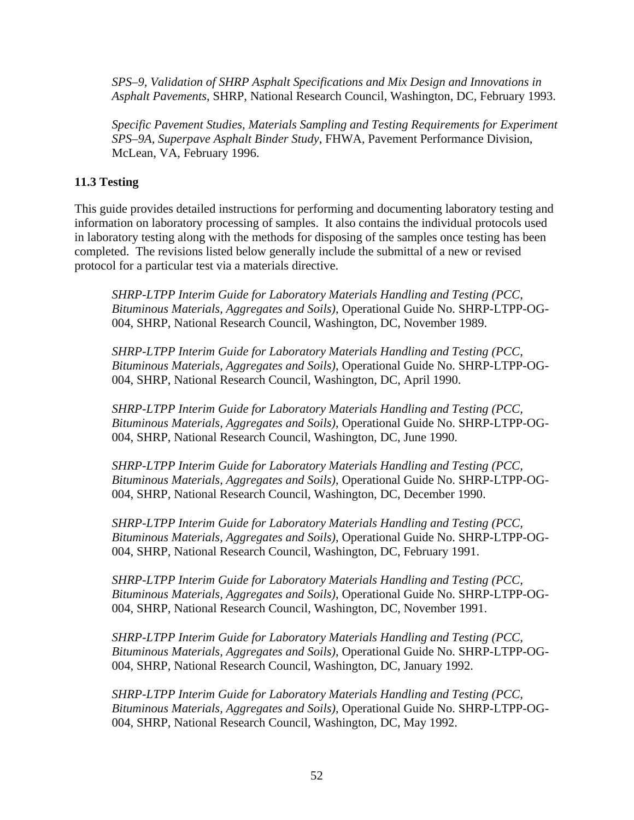<span id="page-61-0"></span>*SPS–9, Validation of SHRP Asphalt Specifications and Mix Design and Innovations in Asphalt Pavements*, SHRP, National Research Council, Washington, DC, February 1993.

*Specific Pavement Studies, Materials Sampling and Testing Requirements for Experiment SPS–9A, Superpave Asphalt Binder Study*, FHWA, Pavement Performance Division, McLean, VA, February 1996.

# **11.3 Testing**

This guide provides detailed instructions for performing and documenting laboratory testing and information on laboratory processing of samples. It also contains the individual protocols used in laboratory testing along with the methods for disposing of the samples once testing has been completed. The revisions listed below generally include the submittal of a new or revised protocol for a particular test via a materials directive.

*SHRP-LTPP Interim Guide for Laboratory Materials Handling and Testing (PCC, Bituminous Materials, Aggregates and Soils)*, Operational Guide No. SHRP-LTPP-OG-004, SHRP, National Research Council, Washington, DC, November 1989.

*SHRP-LTPP Interim Guide for Laboratory Materials Handling and Testing (PCC, Bituminous Materials, Aggregates and Soils)*, Operational Guide No. SHRP-LTPP-OG-004, SHRP, National Research Council, Washington, DC, April 1990.

*SHRP-LTPP Interim Guide for Laboratory Materials Handling and Testing (PCC, Bituminous Materials, Aggregates and Soils)*, Operational Guide No. SHRP-LTPP-OG-004, SHRP, National Research Council, Washington, DC, June 1990.

*SHRP-LTPP Interim Guide for Laboratory Materials Handling and Testing (PCC, Bituminous Materials, Aggregates and Soils)*, Operational Guide No. SHRP-LTPP-OG-004, SHRP, National Research Council, Washington, DC, December 1990.

*SHRP-LTPP Interim Guide for Laboratory Materials Handling and Testing (PCC, Bituminous Materials, Aggregates and Soils)*, Operational Guide No. SHRP-LTPP-OG-004, SHRP, National Research Council, Washington, DC, February 1991.

*SHRP-LTPP Interim Guide for Laboratory Materials Handling and Testing (PCC, Bituminous Materials, Aggregates and Soils)*, Operational Guide No. SHRP-LTPP-OG-004, SHRP, National Research Council, Washington, DC, November 1991.

*SHRP-LTPP Interim Guide for Laboratory Materials Handling and Testing (PCC, Bituminous Materials, Aggregates and Soils)*, Operational Guide No. SHRP-LTPP-OG-004, SHRP, National Research Council, Washington, DC, January 1992.

*SHRP-LTPP Interim Guide for Laboratory Materials Handling and Testing (PCC, Bituminous Materials, Aggregates and Soils)*, Operational Guide No. SHRP-LTPP-OG-004, SHRP, National Research Council, Washington, DC, May 1992.